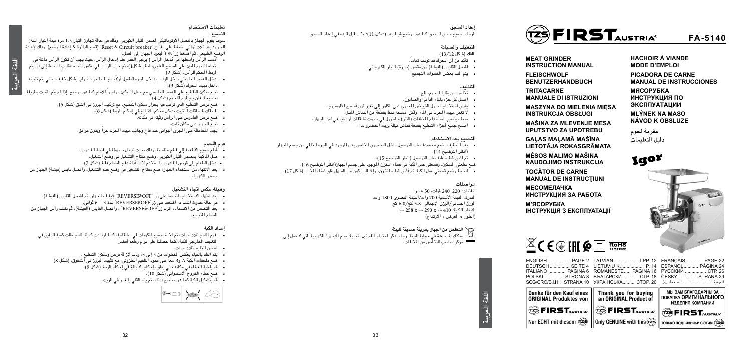#### **تعليمات االستخدام**

#### **التجميع**

- ُ أمسك الرأس وادخلها في مدخل الرأس ) يرجى احلذر عند إدخال الرأس، حيث يجب أن تكون الرأس مائلة في اجتاه السهم املبني على السطح العلوي، انظر شكل1(، ثم حرك الرأس في عكس اجتاه عقارب الساعة إلى أن يتم الربط المحكم للرأس. (شكل 2)
- ً ادخل العمود احللزوني داخل الرأس، أدخل اجلزء الطويل أوال، مع لف اجلزء امللولب بشكل خفيف، حتي يتم تثبيته داخل مبيت اللحرك (شَكل 3).
- ً ضع سكني التقطيع على العمود احللزوني مع جعل السكني مواجها لألمام كما هو موضح. إذا لم يتم الثبيت بطريقة صحيحة؛ فلن يتم فرم اللحوم (شكل 4).
	- ضع قرص التقطيع الذي ترغب فيه بجوار سكني التقطيع، مع تركيب البروز في الشق )شكل 5(.
		- لف قالوظ حلقات التثبيت بشكل محكم. التبالغ في إحكام الربط )شكل 6(.
			- ضع قرص القادوس على الرأس وثبته في مكانه.
				- ضع اجلهاز على مكان ثابت.
		- يجب المحافظة على المجرى الهوائي عند قاع وجانب مبيت المحرك حرا وبدون عوائق.

سوف يقوم اجلهاز بالفصل األوتوماتيكي ملصدر التيار الكهربي، وذلك في حالة جتاوز التيار 1.5 مرة قيمة التيار املقنن للجهاز؛ بعد ثالث ثواني اضغط على مفتاح "breaker Circuit & Reset( "قطع الدائرة & إعادة الوضع(؛ وذلك إلعادة الوضع الطبيعي، ثم اضغط زر"ON "ليعود اجلهاز إلى العمل.

- قَطّع جميع الأطعمة إلى قطع مناسبة، وذلك بحيث تدخل بسهولة في فتحة القادوس.
- صل املاكينة مبصدر التيار الكهربي، وضع مفتاح التشغيل في وضع الشغيل.
- ادخل الطعام إلى قرص القادوس. استخدم لذلك أداة دفع الطعام فقط )شكل 7(.
- بعد الانتهاء من استخدام الجهاز، ضع مفتاح التشغيل في وضع عدم التشغيل، وافصل قابس (فيشة) الجهاز من مصدر الكهرباء.

#### **فرم اللحوم**

#### **وظيفة عكس اجتاه التشغيل**

- بعد انتهاء االستخدام، اضغط على زر "OFF&REVERSE "إليقاف اجلهاز، ثم افصل القابس )الفيشة(.
	- في حالة حدوث انسداد، اضغط على زر"OFF&REVERSE "ملدة 3 6 ثواني.
- بعد التخلص من االنسداد، اترك زر"OFF&REVERSE "، وافصل القابس )الفيشة(، ثم نظف رأس اجلهاز من الطعام املتجمع.

#### **إعداد الكبة**

- افرم اللحم ثالث مرات، ثم اخلط جميع املكونات في سلطانية. كلما ازدادت كمية اللحم وقلت كمية الدقيق في التغليف اخلارجي للكبة، كلما حصلنا على قوام وطعم أفضل.
	- اطحن اخلليط ثالث مرات.
	- يتم الفك بالقيام بعكس اخلطوات من 5 إلى ،3 وذلك إلزالة قرص وسكني التقطيع .
	- ضع ملحقات الكبة A وB معا على عمود التلقيم الطزوني، مع تثبيت البروز في الشقوق. (شكل 8)
		- قم بلولبة الغطاء في مكانه حتي يغلق بإحكام. التبالغ في إحكام الربط )شكل 9(.
			- ضع غطاء اخلروج االسطواني )شكل 10(.
			- قم بتشكيل الكبة كما هو موضح أدناه، ثم يتم القلي بالغمر في الزيت.

|--|--|

**MEAT GRINDER INSTRUCTION MANUAL** 

**FLEISCHWOLF BENUTZERHANDBUCH**

**TRITACARNE MANUALE DI ISTRUZIONI**

**MASZYNA DO MIELENIA MIĘSA INSTRUKCJA OBSŁUGI**

**MAŠINA ZA MLEVENJE MESA UPUTSTVO ZA UPOTREBU**

**GAĻAS MAĻAMĀ MAŠĪNA LIETOTĀJA ROKASGRĀMATA**

**MĖSOS MALIMO MAŠINA NAUDOJIMO INSTRUKCIJA**

**TOCĂTOR DE CARNE MANUAL DE INSTRUCŢIUNI**

**МЕСОМЕЛАЧКА ИНСТРУКЦИЯ ЗА РАБОТА**

**М'ЯСОРУБКА ІНСТРУКЦІЯ З ЕКСПЛУАТАЦІЇ** **HACHOIR À VIANDE MODE D'EMPLOI**

**PICADORA DE CARNE MANUAL DE INSTRUCCIONES**

**MACOPYEKA ИНСТРУКЦИЯ ПО GKCUNATALINA** 

**MLÝNEK NA MASO NÁVOD K OBSLUZE** 

**مفرمة حلوم دليل التعليمات**



 $\mathbb{Z}$ CE  $\oplus$  FHI CO  $\Box$  RoHS

**FA-5140**



- 
- 
- 
- 
- 
- 
- 
- 





| $ENGLISH$<br>PAGE 2      |
|--------------------------|
| DEUTSCH  SEITE 4         |
| ITALIANO  PAGINA 6       |
| POLSKI STRONA 8          |
| SCG/CRO/B.i.H. STRANA 10 |
|                          |

| nke für den Kauf eines      |
|-----------------------------|
| <b>IGINAL Produktes von</b> |



Nur ECHT mit diesem (25)

| LIETUVIU K P. 14 E    |
|-----------------------|
| ROMANESTE PAGINA 16 P |
| БЪЛГАРСКИ  СТР. 18 Č  |
| УКРАЇНСЬКА СТОР. 20 3 |
|                       |

| FRANÇAIS  PAGE 22<br>ESPAÑOL PÁGINA 24 |  |
|----------------------------------------|--|
|                                        |  |
| РУССКИЙ  СТР. 26                       |  |
| ČESKY  STRANA 29                       |  |
| العربيةالصفحة 31                       |  |



**اللغة العربية**

**اللغة العربية**

#### **إعداد السجق**

الرجاء جتميع ملحق السجق كما هو موضح فيما بعد )شكل 11(؛ وذلك قبل البدء في إعداد السجق

#### **التنظيف والصيانة**

 **الفك** )شكل 13/12(

- ً تأكد من أن احملرك قد توقف متاما.
- افصل القابس )الفيشة( من مقبس )بريزة( التيار الكهربائي.
	- يتم الفك بعكس اخلطوات التجميع.

#### **التنظيف**

- تخلص من بقايا اللحوم، الخ.
- اغسل كل جزء باملاء الدافئ والصابون.
- يؤدي استخدام محلول التبييض المحتوى على الكلور إلى تغير لون أسطح الألومنيوم.
	- لا تغمر مبيت المحرك في الماء، ولكن امسحه فقط بقطعة من القماش الملل.
- سوف يتسبب استخدام املخففات )التنر( والبترول في حدوث تشققات أو تغير في لون اجلهاز.
	- امسح جميع أجزاء التقطيع بقطعة قماش مبللة بزيت اخلضروات.

#### **التجميع بعد االستخدام**

- بعد التنظيف، ضع مجموعة سلك التوصيل داخل الصندوق اخلاص به، واملوجود في اجلزء اخللفي من جسم اجلهاز )انظر التوضيح 14(.
	- ثم اغلق غطاء علبة سلك التوصيل )انظر التوضيح 15(.
	- ضع قطعتي السكين، وقطعتي عمل الكبة في غطاء المحزن الموجود على جسم الجهاز(انظر التوضيح 16).
	- اضبط وضع قطعتي عمل الكبة، ثم أغلق غطاء املخزن، وإال فلن يكون من السهل غلق غطاء املخزن )شكل 17(.

#### **املواصفات**

املقننات: 240-220 فولت، 50 هرتز القدرة: القيمة الأسمية 700 وات/القيمة القصوى 1800 وات الوزن الصافي/الوزن اإلجمالي: 5.8 كج6.0/ كج األبعاد الكلية: 410 مم x 290 مم x 258 مم )الطول x العرض x االرتفاع(

**التخلص من اجلهاز بطريقة صديقة للبيئة**

للأكم ليمكنك المساعدة في حماية البيئة! رجاء تذكر احترام القوانين المطية: سلم الأجهزة الكهربية التي لاتعمل إلى **لتصل** مركز مناسب للتخلّص من المخلفات.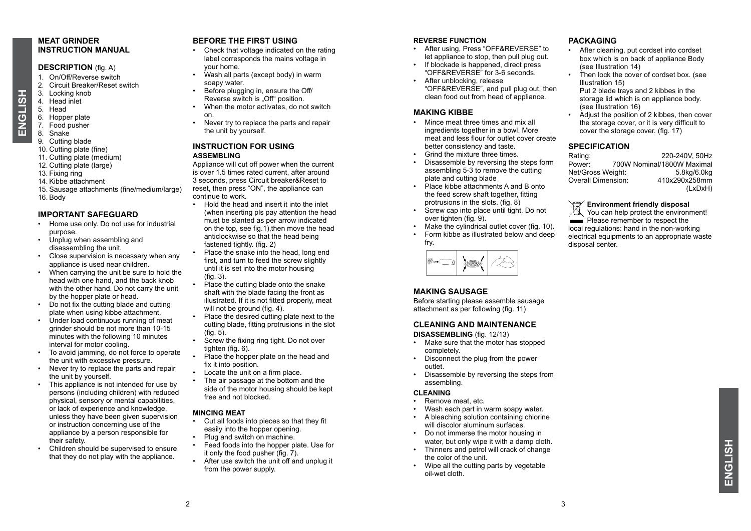#### **MEAT GRINDER INSTRUCTION MANUAL**

#### **DESCRIPTION** (fig. A)

- 1. On/Off/Reverse switch
- 2. Circuit Breaker/Reset switch
- 3. Locking knob
- 4. Head inlet 5. Head
- **ENGLISH ENGLISH**
	- 6. Hopper plate
	- 7. Food pusher
	- 8. Snake
	- 9. Cutting blade
	- 10. Cutting plate (fine) 11. Cutting plate (medium)
	- 12. Cutting plate (large)
	- 13. Fixing ring
	- 14. Kibbe attachment
	-
	- 15. Sausage attachments (fine/medium/large) 16. Body

#### **IMPORTANT SAFEGUARD**

- Home use only. Do not use for industrial purpose.
- Unplug when assembling and disassembling the unit.
- Close supervision is necessary when any appliance is used near children.
- When carrying the unit be sure to hold the head with one hand, and the back knob with the other hand. Do not carry the unit by the hopper plate or head.
- Do not fix the cutting blade and cutting plate when using kibbe attachment.
- Under load continuous running of meat grinder should be not more than 10-15 minutes with the following 10 minutes interval for motor cooling.
- To avoid jamming, do not force to operate the unit with excessive pressure.
- Never try to replace the parts and repair the unit by yourself.
- This appliance is not intended for use by persons (including children) with reduced physical, sensory or mental capabilities, or lack of experience and knowledge, unless they have been given supervision or instruction concerning use of the appliance by a person responsible for their safety.
- Children should be supervised to ensure that they do not play with the appliance.

#### **BEFORE THE FIRST USING**

- Check that voltage indicated on the rating label corresponds the mains voltage in your home.
- Wash all parts (except body) in warm soapy water.
- Before plugging in, ensure the Off/ Reverse switch is . Off<sup>"</sup> position.
- When the motor activates, do not switch on.
- Never try to replace the parts and repair the unit by yourself.

#### **INSTRUCTION FOR USING ASSEMBLING**

Appliance will cut off power when the current is over 1.5 times rated current, after around 3 seconds, press Circuit breaker&Reset to reset, then press "ON", the appliance can continue to work.

- Hold the head and insert it into the inlet (when inserting pls pay attention the head must be slanted as per arrow indicated on the top, see fig.1),then move the head anticlockwise so that the head being fastened tightly. (fig. 2)
- Place the snake into the head, long end first, and turn to feed the screw slightly until it is set into the motor housing  $(fia \t3)$
- Place the cutting blade onto the snake shaft with the blade facing the front as illustrated. If it is not fitted properly, meat will not be ground (fig. 4).
- Place the desired cutting plate next to the cutting blade, fitting protrusions in the slot  $(fia 5)$
- Screw the fixing ring tight. Do not over tighten (fig. 6).
- Place the hopper plate on the head and fix it into position.
- Locate the unit on a firm place.
- The air passage at the bottom and the side of the motor housing should be kept free and not blocked.

#### **MINCING MEAT**

- Cut all foods into pieces so that they fit easily into the hopper opening.
- Plug and switch on machine.
- Feed foods into the hopper plate. Use for it only the food pusher  $(fia \vec{7})$ .
- After use switch the unit off and unplug it from the power supply.

#### **REVERSE FUNCTION**

- After using, Press "OFF&REVERSE" to let appliance to stop, then pull plug out.
- If blockade is happened, direct press "OFF&REVERSE" for 3-6 seconds.
- After unblocking, release "OFF&REVERSE", and pull plug out, then clean food out from head of appliance.

#### **MAKING KIBBE**

- Mince meat three times and mix all ingredients together in a bowl. More meat and less flour for outlet cover create better consistency and taste.
- Grind the mixture three times.
- Disassemble by reversing the steps form assembling 5-3 to remove the cutting plate and cutting blade
- Place kibbe attachments A and B onto the feed screw shaft together, fitting protrusions in the slots. (fig. 8)
- Screw cap into place until tight. Do not  $over$  fighten (fig. 9).
- Make the cylindrical outlet cover (fig. 10).
- Form kibbe as illustrated below and deep fry.



#### **MAKING SAUSAGE**

Before starting please assemble sausage attachment as per following (fig. 11)

#### **CLEANING AND MAINTENANCE**

**DISASSEMBLING** (fig. 12/13)

- Make sure that the motor has stopped completely.
- Disconnect the plug from the power outlet.
- Disassemble by reversing the steps from assembling.

#### **CLEANING**

- Remove meat, etc.
- Wash each part in warm soapy water.
- A bleaching solution containing chlorine will discolor aluminum surfaces.
- Do not immerse the motor housing in water, but only wipe it with a damp cloth.
- Thinners and petrol will crack of change the color of the unit.
- Wipe all the cutting parts by vegetable oil-wet cloth.

#### **PACKAGING**

- After cleaning, put cordset into cordset box which is on back of appliance Body (see Illustration 14)
- Then lock the cover of cordset box. (see Illustration 15)
	- Put 2 blade trays and 2 kibbes in the storage lid which is on appliance body. (see Illustration 16)
- Adjust the position of 2 kibbes, then cover the storage cover, or it is very difficult to cover the storage cover. (fig. 17)

## **SPECIFICATION**<br>Rating:

Rating: 220-240V, 50Hz<br>Power: 700W Nominal/1800W Maximal Pow Nominal/1800W Maximal<br>eight: 5.8kg/6.0kg Net/Gross Weight: 5.8kg/6.0kg<br>Overall Dimension: 410x290x258mm Overall Dimension: (LxDxH)

#### **Environment friendly disposal**

 $\chi$  You can help protect the environment! Please remember to respect the local regulations: hand in the non-working electrical equipments to an appropriate waste disposal center.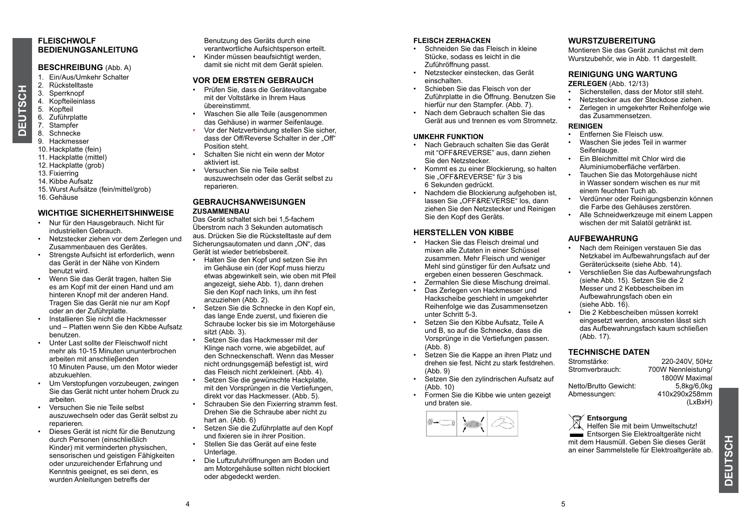#### **FLEISCHWOLF BEDIENUNGSANLEITUNG**

#### **BESCHREIBUNG** (Abb. A)

- 1. Ein/Aus/Umkehr Schalter
- 2. Rückstelltaste
- 3. Sperrknopf
- 4. Kopfteileinlass<br>5. Kopfteil
- Kopfteil 6. Zuführplatte
- 7. Stampfer
- 8. Schnecke

**DEUTSCH**

ō

**HJSCH** 

- 9. Hackmesser
- 10. Hackplatte (fein)
- 11. Hackplatte (mittel)
- 12. Hackplatte (grob)
- 13. Fixierring
- 14. Kibbe Aufsatz
- 15. Wurst Aufsätze (fein/mittel/grob)
- 16. Gehäuse

#### **WICHTIGE SICHERHEITSHINWEISE**

- Nur für den Hausgebrauch. Nicht für industriellen Gebrauch.
- Netzstecker ziehen vor dem Zerlegen und Zusammenbauen des Gerätes.
- Strengste Aufsicht ist erforderlich, wenn das Gerät in der Nähe von Kindern benutzt wird.
- Wenn Sie das Gerät tragen, halten Sie es am Kopf mit der einen Hand und am hinteren Knopf mit der anderen Hand. Tragen Sie das Gerät nie nur am Kopf oder an der Zuführplatte.
- Installieren Sie nicht die Hackmesser und – Platten wenn Sie den Kibbe Aufsatz benutzen.
- Unter Last sollte der Fleischwolf nicht mehr als 10-15 Minuten ununterbrochen arbeiten mit anschlieβenden 10 Minuten Pause, um den Motor wieder abzukuehlen.
- Um Verstopfungen vorzubeugen, zwingen Sie das Gerät nicht unter hohem Druck zu arbeiten.
- Versuchen Sie nie Teile selbst auszuwechseln oder das Gerät selbst zu reparieren.
- Dieses Gerät ist nicht für die Benutzung durch Personen (einschließlich Kinder) mit verminderten physischen, sensorischen und geistigen Fähigkeiten oder unzureichender Erfahrung und Kenntnis geeignet, es sei denn, es wurden Anleitungen betreffs der

Benutzung des Geräts durch eine verantwortliche Aufsichtsperson erteilt. • Kinder müssen beaufsichtigt werden

damit sie nicht mit dem Gerät spielen.

#### **VOR DEM ERSTEN GEBRAUCH**

- Prüfen Sie, dass die Gerätevoltangabe mit der Voltstärke in Ihrem Haus übereinstimmt.
- Waschen Sie alle Teile (ausgenommen das Gehäuse) in warmer Seifenlauge.
- Vor der Netzverbindung stellen Sie sicher, dass der Off/Reverse Schalter in der Off" Position steht.
- Schalten Sie nicht ein wenn der Motor aktiviert ist.
- Versuchen Sie nie Teile selbst auszuwechseln oder das Gerät selbst zu reparieren.

#### **GEBRAUCHSANWEISUNGEN ZUSAMMENBAU**

Das Gerät schaltet sich bei 1,5-fachem Überstrom nach 3 Sekunden automatisch aus. Drücken Sie die Rückstelltaste auf dem Sicherungsautomaten und dann "ON", das Gerät ist wieder betriebsbereit.

- Halten Sie den Kopf und setzen Sie ihn im Gehäuse ein (der Kopf muss hierzu etwas abgewinkelt sein, wie oben mit Pfeil angezeigt, siehe Abb. 1), dann drehen Sie den Kopf nach links<sup>' um</sup> ihn fest anzuziehen (Abb. 2).
- Setzen Sie die Schnecke in den Kopf ein, das lange Ende zuerst, und fixieren die Schraube locker bis sie im Motorgehäuse sitzt (Abb. 3).
- Setzen Sie das Hackmesser mit der Klinge nach vorne, wie abgebildet, auf den Schneckenschaft. Wenn das Messer nicht ordnungsgemäβ befestigt ist, wird das Fleisch nicht zerkleinert. (Abb. 4).
- Setzen Sie die gewünschte Hackplatte, mit den Vorsprüngen in die Vertiefungen, direkt vor das Hackmesser. (Abb. 5).
- Schrauben Sie den Fixierring stramm fest Drehen Sie die Schraube aber nicht zu hart an. (Abb. 6)
- Setzen Sie die Zuführplatte auf den Kopf und fixieren sie in ihrer Position.
- Stellen Sie das Gerät auf eine feste Unterlage
- Die Luftzufuhröffnungen am Boden und am Motorgehäuse sollten nicht blockiert oder abgedeckt werden.

#### **FLEISCH ZERHACKEN**

- Schneiden Sie das Fleisch in kleine Stücke, sodass es leicht in die Zuführöffnung passt.
- Netzstecker einstecken, das Gerät einschalten.
- Schieben Sie das Fleisch von der Zuführplatte in die Öffnung. Benutzen Sie hierfür nur den Stampfer. (Abb. 7).
- Nach dem Gebrauch schalten Sie das Gerät aus und trennen es vom Stromnetz.

#### **UMKEHR FUNKTION**

- Nach Gebrauch schalten Sie das Gerät mit "OFF&REVERSE" aus, dann ziehen Sie den Netzstecker.
- Kommt es zu einer Blockierung, so halten Sie "OFF&REVERSE" für 3 bis 6 Sekunden gedrückt.
- Nachdem die Blockierung aufgehoben ist, lassen Sie "OFF&REVERSE" los, dann ziehen Sie den Netzstecker und Reinigen Sie den Kopf des Geräts.

#### **HERSTELLEN VON KIBBE**

- Hacken Sie das Fleisch dreimal und mixen alle Zutaten in einer Schüssel zusammen. Mehr Fleisch und weniger Mehl sind günstiger für den Aufsatz und ergeben einen besseren Geschmack.
- Zermahlen Sie diese Mischung dreimal.
- Das Zerlegen von Hackmesser und Hackscheibe geschieht in umgekehrter Reihenfolge wie das Zusammensetzen unter Schritt 5-3.
- Setzen Sie den Kibbe Aufsatz, Teile A und B, so auf die Schnecke, dass die Vorsprünge in die Vertiefungen passen. (Abb. 8)
- Setzen Sie die Kappe an ihren Platz und drehen sie fest. Nicht zu stark festdrehen. (Abb. 9)
- Setzen Sie den zylindrischen Aufsatz auf (Abb. 10)
- Formen Sie die Kibbe wie unten gezeigt und braten sie.



#### **WURSTZUBEREITUNG**

Montieren Sie das Gerät zunächst mit dem Wurstzubehör, wie in Abb. 11 dargestellt.

#### **REINIGUNG UNG WARTUNG**

#### **ZERLEGEN** (Abb. 12/13)

- Sicherstellen, dass der Motor still steht.
- Netzstecker aus der Steckdose ziehen.
- Zerlegen in umgekehrter Reihenfolge wie das Zusammensetzen.

#### **REINIGEN**

- Entfernen Sie Fleisch usw.
- Waschen Sie jedes Teil in warmer Seifenlauge
- Ein Bleichmittel mit Chlor wird die Aluminiumoberfläche verfärben.
- Tauchen Sie das Motorgehäuse nicht in Wasser sondern wischen es nur mit einem feuchten Tuch ab.
- Verdünner oder Reinigungsbenzin können die Farbe des Gehäuses zerstören.
- Alle Schneidwerkzeuge mit einem Lappen wischen der mit Salatöl getränkt ist.

#### **AUFBEWAHRUNG**

- Nach dem Reinigen verstauen Sie das Netzkabel im Aufbewahrungsfach auf der Geräterückseite (siehe Abb. 14).
- Verschließen Sie das Aufbewahrungsfach (siehe Abb. 15). Setzen Sie die 2 Messer und 2 Kebbescheiben im Aufbewahrungsfach oben ein (siehe Abb. 16).
- Die 2 Kebbescheiben müssen korrekt eingesetzt werden, ansonsten lässt sich das Aufbewahrungsfach kaum schließen (Abb. 17).

#### **TECHNISCHE DATEN**

Stromstärke: 220-240V, 50Hz 700W Nennleistung/ 1800W Maximal<br>5.8kg/6.0kg Netto/Brutto Gewicht:<br>Abmessungen: Abmessungen: 410x290x258mm (LxBxH)

#### **Entsorgung**

 $\mathbb{X}$ . Helfen Sie mit beim Umweltschutz! Entsorgen Sie Elektroaltgeräte nicht mit dem Hausmüll. Geben Sie dieses Gerät an einer Sammelstelle für Elektroaltgeräte ab.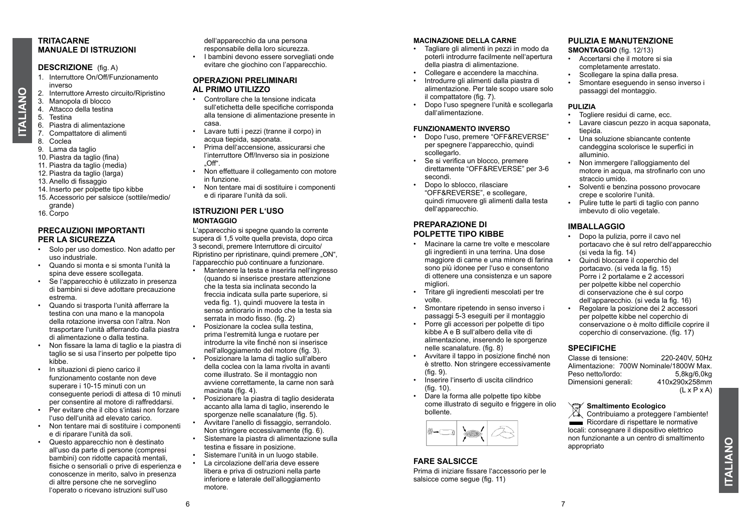#### **TRITACARNE MANUALE DI ISTRUZIONI**

#### **DESCRIZIONE** (fig. A)

- 1. Interruttore On/Off/Funzionamento inverso
- 2. Interruttore Arresto circuito/Ripristino<br>3. Manopola di blocco
- 3. Manopola di blocco<br>4. Attacco della testina
- 4. Attacco della testina<br>5. Testina
- **Testina**
- 6. Piastra di alimentazione
- 7. Compattatore di alimenti
- 8. Coclea

**ITALIANO**

**TALIANO** 

- 9. Lama da taglio 10. Piastra da taglio (fina)
- 11. Piastra da taglio (media)
- 12. Piastra da taglio (larga)
- 13. Anello di fissaggio
- 14. Inserto per polpette tipo kibbe
- 15. Accessorio per salsicce (sottile/medio/
- grande) 16. Corpo
- 

#### **PRECAUZIONI IMPORTANTI PER LA SICUREZZA**

- Solo per uso domestico. Non adatto per uso industriale.
- Quando si monta e si smonta l'unità la spina deve essere scollegata.
- Se l'apparecchio è utilizzato in presenza di bambini si deve adottare precauzione estrema.
- Quando si trasporta l'unità afferrare la testina con una mano e la manopola della rotazione inversa con l'altra. Non trasportare l'unità afferrando dalla piastra di alimentazione o dalla testina.
- Non fissare la lama di taglio e la piastra di taglio se si usa l'inserto per polpette tipo kibbe.
- In situazioni di pieno carico il funzionamento costante non deve superare i 10-15 minuti con un conseguente periodi di attesa di 10 minuti per consentire al motore di raffreddarsi.
- Per evitare che il cibo s'intasi non forzare l'uso dell'unità ad elevato carico.
- Non tentare mai di sostituire i componenti e di riparare l'unità da soli.
- Questo apparecchio non è destinato all'uso da parte di persone (compresi bambini) con ridotte capacità mentali, fisiche o sensoriali o prive di esperienza e conoscenze in merito, salvo in presenza di altre persone che ne sorveglino l'operato o ricevano istruzioni sull'uso

dell'apparecchio da una persona responsabile della loro sicurezza. • I bambini devono essere sorvegliati onde evitare che giochino con l'apparecchio.

#### **OPERAZIONI PRELIMINARI AL PRIMO UTILIZZO**

- Controllare che la tensione indicata sull'etichetta delle specifiche corrisponda alla tensione di alimentazione presente in casa.
- Lavare tutti i pezzi (tranne il corpo) in acqua tiepida, saponata.
- Prima dell'accensione, assicurarsi che l'interruttore Off/Inverso sia in posizione  $\bigcap$ ff"
- Non effettuare il collegamento con motore in funzione.
- Non tentare mai di sostituire i componenti e di riparare l'unità da soli.

#### **ISTRUZIONI PER L'USO MONTAGGIO**

L'apparecchio si spegne quando la corrente supera di 1,5 volte quella prevista, dopo circa 3 secondi, premere Interruttore di circuito/ Ripristino per ripristinare, quindi premere "ON", l'apparecchio può continuare a funzionare.

- Mantenere la testa e inserirla nell'ingresso (quando si inserisce prestare attenzione che la testa sia inclinata secondo la freccia indicata sulla parte superiore, si veda fig. 1), quindi muovere la testa in senso antiorario in modo che la testa sia serrata in modo fisso. (fig. 2)
- Posizionare la coclea sulla testina, prima l'estremità lunga e ruotare per introdurre la vite finché non si inserisce nell'alloggiamento del motore (fig. 3).
- Posizionare la lama di taglio sull'albero della coclea con la lama rivolta in avanti come illustrato. Se il montaggio non avviene correttamente, la carne non sarà macinata (fig. 4).
- Posizionare la piastra di taglio desiderata accanto alla lama di taglio, inserendo le sporgenze nelle scanalature (fig. 5).
- Avvitare l'anello di fissaggio, serrandolo. Non stringere eccessivamente (fig. 6).
- Sistemare la piastra di alimentazione sulla testina e fissare in posizione.
- Sistemare l'unità in un luogo stabile. • La circolazione dell'aria deve essere libera e priva di ostruzioni nella parte inferiore e laterale dell'alloggiamento motore.

#### **MACINAZIONE DELLA CARNE**

- Tagliare gli alimenti in pezzi in modo da poterli introdurre facilmente nell'apertura della piastra di alimentazione.
- Collegare e accendere la macchina.
- Introdurre gli alimenti dalla piastra di alimentazione. Per tale scopo usare solo il compattatore (fig. 7).
- Dopo l'uso spegnere l'unità e scollegarla dall'alimentazione.

#### **FUNZIONAMENTO INVERSO**

- Dopo l'uso, premere "OFF&REVERSE" per spegnere l'apparecchio, quindi scollegarlo.
- Se si verifica un blocco, premere direttamente "OFF&REVERSE" per 3-6 secondi.
- Dopo lo sblocco, rilasciare "OFF&REVERSE", e scollegare, quindi rimuovere gli alimenti dalla testa dell'apparecchio.

#### **PREPARAZIONE DI POLPETTE TIPO KIBBE**

- Macinare la carne tre volte e mescolare gli ingredienti in una terrina. Una dose maggiore di carne e una minore di farina sono più idonee per l'uso e consentono di ottenere una consistenza e un sapore migliori.
- Tritare gli ingredienti mescolati per tre volte.
- Smontare ripetendo in senso inverso i passaggi 5-3 eseguiti per il montaggio
- Porre gli accessori per polpette di tipo kibbe A e B sull'albero della vite di alimentazione, inserendo le sporgenze nelle scanalature. (fig. 8)
- Avvitare il tappo in posizione finché non è stretto. Non stringere eccessivamente  $(fia 9)$
- Inserire l'inserto di uscita cilindrico  $(fia 10)$
- Dare la forma alle polpette tipo kibbe come illustrato di seguito e friggere in olio bollente.



#### **FARE SALSICCE**

Prima di iniziare fissare l'accessorio per le salsicce come seque (fig. 11)

#### **PULIZIA E MANUTENZIONE**

- **SMONTAGGIO** (fig. 12/13)
- Accertarsi che il motore si sia completamente arrestato.
- Scollegare la spina dalla presa.
- Smontare eseguendo in senso inverso i passaggi del montaggio.

#### **PULIZIA**

- Togliere residui di carne, ecc.
- Lavare ciascun pezzo in acqua saponata tiepida.
- Una soluzione sbiancante contente candeggina scolorisce le superfici in alluminio.
- Non immergere l'alloggiamento del motore in acqua, ma strofinarlo con uno straccio umido.
- Solventi e benzina possono provocare crepe e scolorire l'unità.
- Pulire tutte le parti di taglio con panno imbevuto di olio vegetale.

#### **IMBALLAGGIO**

- Dopo la pulizia, porre il cavo nel portacavo che è sul retro dell'apparecchio (si veda la fig. 14)
- Quindi bloccare il coperchio del portacavo. (si veda la fig. 15) Porre i 2 portalame e 2 accessori per polpette kibbe nel coperchio di conservazione che è sul corpo dell'apparecchio. (si veda la fig. 16)
- Regolare la posizione dei 2 accessori per polpette kibbe nel coperchio di conservazione o è molto difficile coprire il coperchio di conservazione. (fig. 17)

#### **SPECIFICHE**

Classe di tensione: 220-240V, 50Hz Alimentazione: 700W Nominale/1800W Max.<br>Peso netto/lordo: 5 8kg/6 0kg Peso netto/lordo: 5,8kg/6,0kg<br>Dimensioni generali: 410x290x258mm Dimensioni generali:  $(L \times P \times A)$ 

**Smaltimento Ecologico**<br>Contribuiamo a protegner Contribuiamo a proteggere l'ambiente! Ricordare di rispettare le normative locali: consegnare il dispositivo elettrico non funzionante a un centro di smaltimento appropriato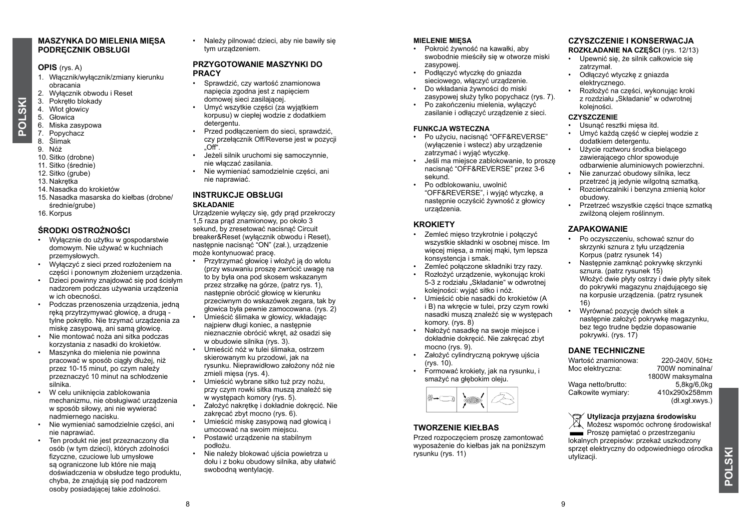#### **MASZYNKA DO MIELENIA MIĘSA PODRĘCZNIK OBSŁUGI**

#### **OPIS** (rys. A)

- 1. Włącznik/wyłącznik/zmiany kierunku obracania
- 2. Wyłącznik obwodu i Reset
- 3. Pokrętło blokady
- 4. Wlot głowicy
- 5. Głowica

**POLSKI**

- 6. Miska zasypowa
- 7. Popychacz 8. Ślimak
- 
- 9. Nóż
- 10. Sitko (drobne)
- 11. Sitko (średnie)
- 12. Sitko (grube)
- 13. Nakrętka
- 14. Nasadka do krokietów
- 15. Nasadka masarska do kiełbas (drobne/ średnie/grube)
- 16. Korpus

#### **ŚRODKI OSTROŻNOŚCI**

- Wyłącznie do użytku w gospodarstwie domowym. Nie używać w kuchniach przemysłowych.
- Wyłączyć z sieci przed rozłożeniem na części i ponownym złożeniem urządzenia.
- Dzieci powinny znajdować się pod ścisłym nadzorem podczas używania urządzenia w ich obecności.
- Podczas przenoszenia urządzenia, jedną ręką przytrzymywać głowicę, a drugą tylne pokrętło. Nie trzymać urządzenia za miskę zasypową, ani samą głowicę.
- Nie montować noża ani sitka podczas korzystania z nasadki do krokietów.
- Maszynka do mielenia nie powinna pracować w sposób ciągły dłużej, niż przez 10-15 minut, po czym należy przeznaczyć 10 minut na schłodzenie silnika.
- W celu uniknięcia zablokowania mechanizmu, nie obsługiwać urządzenia w sposób siłowy, ani nie wywierać nadmiernego nacisku.
- Nie wymieniać samodzielnie części, ani nie naprawiać.
- Ten produkt nie jest przeznaczony dla osób (w tym dzieci), których zdolności fizyczne, czuciowe lub umysłowe są ograniczone lub które nie mają doświadczenia w obsłudze tego produktu, chyba, że znajdują się pod nadzorem osoby posiadającej takie zdolności.

• Należy pilnować dzieci, aby nie bawiły się tym urządzeniem.

#### **PRZYGOTOWANIE MASZYNKI DO PRACY**

- Sprawdzić, czy wartość znamionowa napięcia zgodna jest z napięciem domowej sieci zasilającej.
- Umyć wszytkie części (za wyjątkiem korpusu) w ciepłej wodzie z dodatkiem detergentu.
- Przed podłączeniem do sieci, sprawdzić, czy przełącznik Off/Reverse jest w pozycji "Off".
- Jeżeli silnik uruchomi się samoczynnie, nie włączać zasilania.
- Nie wymieniać samodzielnie części, ani nie naprawiać.

#### **INSTRUKCJE OBSŁUGI SKŁADANIE**

Urządzenie wyłączy się, gdy prąd przekroczy 1,5 raza prąd znamionowy, po około 3 sekund, by zresetować nacisnać Circuit breaker&Reset (wyłącznik obwodu i Reset), nastepnie nacisnąć "ON" (zał.), urządzenie może kontynuować pracę.

- Przytrzymać głowicę i włożyć ją do wlotu (przy wsuwaniu proszę zwrócić uwagę na to by była ona pod skosem wskazanym przez strzałkę na górze, (patrz rys. 1), następnie obrócić głowicę w kierunku przeciwnym do wskazówek zegara, tak by głowica była pewnie zamocowana. (rys. 2)
- Umieścić ślimaka w głowicy, wkładając najpierw długi koniec, a następnie nieznacznie obrócić wkręt, aż osadzi się w obudowie silnika (rys. 3).
- Umieścić nóż w tulei ślimaka, ostrzem skierowanym ku przodowi, jak na rysunku. Nieprawidłowo założony nóż nie zmieli mięsa (rys. 4).
- Umieścić wybrane sitko tuż przy nożu, przy czym rowki sitka muszą znaleźć się w występach komory (rys. 5).
- Założyć nakrętkę i dokładnie dokręcić. Nie zakręcać zbyt mocno (rys. 6).
- Umieścić miskę zasypową nad głowicą i umocować na swoim miejscu.
- Postawić urządzenie na stabilnym podłożu.
- Nie należy blokować ujścia powietrza u dołu i z boku obudowy silnika, aby ułatwić swobodna wentylacie.

#### **MIELENIE MIĘSA**

- Pokroić żywność na kawałki, aby swobodnie mieściły się w otworze miski zasypowej.
- Podłączyć wtyczkę do gniazda sieciowego, włączyć urządzenie.
- Do wkładania żywności do miski zasypowej służy tylko popychacz (rys. 7).
- Po zakończeniu mielenia, wyłączyć zasilanie i odłączyć urządzenie z sieci.

#### **FUNKCJA WSTECZNA**

- Po użyciu, nacisnąć "OFF&REVERSE" (wyłączenie i wstecz) aby urządzenie zatrzymać i wyjąć wtyczkę.
- Jeśli ma miejsce zablokowanie, to proszę nacisnąć "OFF&REVERSE" przez 3-6 sekund.
- Po odblokowaniu, uwolnić "OFF&REVERSE", i wyjąć wtyczkę, a następnie oczyścić żywność z głowicy urządzenia.

#### **KROKIETY**

- Zemleć mięso trzykrotnie i połączyć wszystkie składnki w osobnej misce. Im więcej mięsa, a mniej maki, tym lepsza konsystencja i smak.
- Zemleć połączone składniki trzy razy.
- Rozłożyć urządzenie, wykonując kroki 5-3 z rodziału "Składanie" w odwrotnej kolejności: wyjąć sitko i nóż.
- Umieścić obie nasadki do krokietów (A i B) na wkręcie w tulei, przy czym rowki nasadki muszą znaleźć się w występach komory. (rys. 8)
- Nałożyć nasadkę na swoje miejsce i dokładnie dokręcić. Nie zakręcać zbyt mocno (rys. 9).
- Założyć cylindryczną pokrywę ujścia (rys. 10).
- Formować krokiety, jak na rysunku, i smażyć na głębokim oleju.



#### **TWORZENIE KIEŁ BAS**

Przed rozpoczęciem proszę zamontować wyposażenie do kiełbas jak na poniższym rysunku (rys. 11)

#### **CZYSZCZENIE I KONSERWACJA**

#### **ROZKŁADANIE NA CZĘŚCI** (rys. 12/13)

- Upewnić się, że silnik całkowicie się zatrzymał.
- Odłączyć wtyczkę z gniazda elektrycznego.
- Rozłożyć na części, wykonując kroki z rozdziału "Składanie" w odwrotnej kolejności.

#### **CZYSZCZENIE**

- Usunąć resztki mięsa itd.
- Umyć każdą część w ciepłej wodzie z dodatkiem detergentu.
- Użycie roztworu środka bielącego zawierającego chlor spowoduje odbarwienie aluminiowych powierzchni.
- Nie zanurzać obudowy silnika, lecz przetrzeć ją jedynie wilgotną szmatką.
- Rozcieńczalniki i benzyna zmienią kolor obudowy.
- Przetrzeć wszystkie części tnące szmatką zwilżoną olejem roślinnym.

#### **ZAPAKOWANIE**

- Po oczyszczeniu, schować sznur do skrzynki sznura z tyłu urządzenia Korpus (patrz rysunek 14)
- Następnie zamknąć pokrywkę skrzynki sznura. (patrz rysunek 15) Włożyć dwie płyty ostrzy i dwie płyty sitek do pokrywki magazynu znajdującego się na korpusie urządzenia. (patrz rysunek 16)
- Wyrównać pozycję dwóch sitek a następnie założyć pokrywkę magazynku, bez tego trudne będzie dopasowanie pokrywki. (rys. 17)

#### **DANE TECHNICZNE**

Wartość znamionowa: 220-240V, 50Hz<br>Moc elektryczna: 700W nominalna/ Moc elektryczna: 1800W maksymalna Waga netto/brutto: 5,8kg/6,0kg<br>Całkowite wymiary: 410x290x258mm Całkowite wymiary: (dł.xgł.xwys.)

#### **Utylizacja przyjazna środowisku**

 $\mathbb{X}$  Możesz wspomóc ochrone środowiska! **Prosze pamiętać o przestrzeganiu** lokalnych przepisów: przekaż uszkodzony sprzęt elektryczny do odpowiedniego ośrodka utylizacji.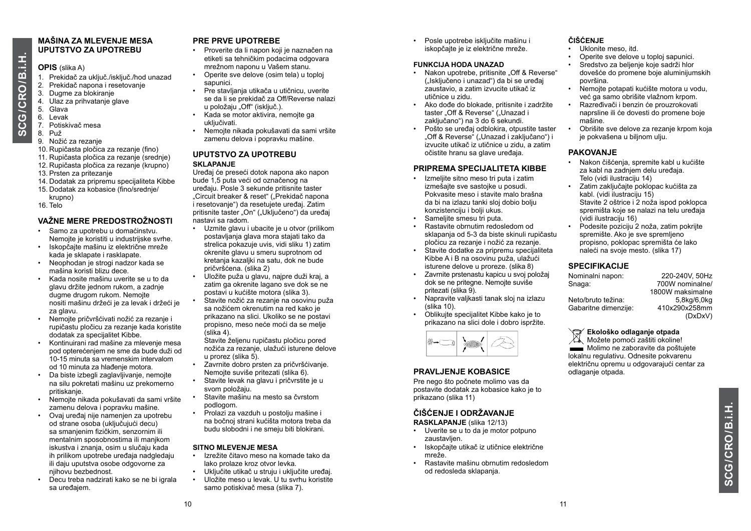#### **MAŠINA ZA MLEVENJE MESA UPUTSTVO ZA UPOTREBU**

#### **OPIS** (slika A)

- 1. Prekidač za uključ./isključ./hod unazad
- 2. Prekidač napona i resetovanje
- 3. Dugme za blokiranje
- 4. Ulaz za prihvatanje glave
- 5. Glava 6. Levak
- 
- 7. Potiskivač mesa
- 8. Puž
- 9. Nožić za rezanje
- 10. Rupičasta pločica za rezanje (fino) 11. Rupičasta pločica za rezanje (srednje)
- 12. Rupičasta pločica za rezanje (krupno)
- 13. Prsten za pritezanje
- 14. Dodatak za pripremu specijaliteta Kibbe
- 15. Dodatak za kobasice (fino/srednje/
- krupno) 16. Telo

#### **VAŽNE MERE PREDOSTROŽNOSTI**

- Samo za upotrebu u domaćinstvu. Nemojte je koristiti u industrijske svrhe.
- Iskopčajte mašinu iz električne mreže kada je sklapate i rasklapate.
- Neophodan je strogi nadzor kada se mašina koristi blizu dece.
- Kada nosite mašinu uverite se u to da glavu držite jednom rukom, a zadnje dugme drugom rukom. Nemojte nositi mašinu držeći je za levak i držeći je za glavu.
- Nemojte pričvršćivati nožić za rezanje i rupičastu pločicu za rezanje kada koristite dodatak za specijalitet Kibbe.
- Kontinuirani rad mašine za mlevenje mesa pod opterećenjem ne sme da bude duži od 10-15 minuta sa vremenskim intervalom od 10 minuta za hlađenje motora.
- Da biste izbegli zaglavljivanje, nemojte na silu pokretati mašinu uz prekomerno pritiskanje.
- Nemojte nikada pokušavati da sami vršite zamenu delova i popravku mašine.
- Ovaj uređaj nije namenjen za upotrebu od strane osoba (uključujući decu) sa smanjenim fizičkim, senzornim ili mentalnim sposobnostima ili manjkom iskustva i znanja, osim u slučaju kada ih prilikom upotrebe uređaja nadgledaju ili daju uputstva osobe odgovorne za njihovu bezbednost.
- Decu treba nadzirati kako se ne bi igrala sa uređajem.

#### **PRE PRVE UPOTREBE**

- Proverite da li napon koji je naznačen na etiketi sa tehničkim podacima odgovara mrežnom naponu u Vašem stanu.
- Operite sve delove (osim tela) u toploj sapunici.
- Pre stavljanja utikača u utičnicu, uverite se da li se prekidač za Off/Reverse nalazi u položaju .Off<sup>"</sup> (iskliuč.).
- Kada se motor aktivira, nemojte ga ukliučivati
- Nemojte nikada pokušavati da sami vršite zamenu delova i popravku mašine.

#### **UPUTSTVO ZA UPOTREBU SKLAPANJE**

Uređaj će preseći dotok napona ako napon bude 1,5 puta veći od označenog na uređaju. Posle 3 sekunde pritisnite taster "Circuit breaker & reset" ("Prekidač napona i resetovanje") da resetujete uređaj. Zatim pritisnite taster "On" ("Uključeno") da uređaj nastavi sa radom.

- Uzmite glavu i ubacite je u otvor (prilikom postavljanja glava mora stajati tako da strelica pokazuje uvis, vidi sliku 1) zatim okrenite glavu u smeru suprotnom od kretanja kazaljki na satu, dok ne bude pričvršćena. (slika 2)
- Uložite puža u glavu, najpre duži kraj, a zatim ga okrenite lagano sve dok se ne postavi u kućište motora (slika 3).
- Stavite nožić za rezanje na osovinu puža sa nožićem okrenutim na red kako je prikazano na slici. Ukoliko se ne postavi propisno, meso neće moći da se melje (slika 4).

Stavite željenu rupičastu pločicu pored nožića za rezanje, ulažući isturene delove u prorez (slika 5).

- Zavrnite dobro prsten za pričvršćivanje. Nemojte suviše pritezati (slika 6).
- Stavite levak na glavu i pričvrstite je u svom položaju. • Stavite mašinu na mesto sa čvrstom
- podlogom.
- Prolazi za vazduh u postoliu mašine i na bočnoj strani kućišta motora treba da budu slobodni i ne smeju biti blokirani.

#### **SITNO MLEVENJE MESA**

- Izrežite čitavo meso na komade tako da lako prolaze kroz otvor levka.
- Uključite utikač u struju i uključite uređaj.
- Uložite meso u levak. U tu svrhu koristite samo potiskivač mesa (slika 7).

• Posle upotrebe isključite mašinu i iskopčajte je iz električne mreže.

#### **FUNKCIJA HODA UNAZAD**

- Nakon upotrebe, pritisnite, Off & Reverse" ("Isključeno i unazad") da bi se uređaj zaustavio, a zatim izvucite utikač iz utičnice u zidu.
- Ako dođe do blokade, pritisnite i zadržite taster "Off & Reverse" ("Unazad i zaključano") na 3 do 6 sekundi.
- Pošto se uređaj odblokira, otpustite taster "Off & Reverse" ("Unazad i zaključano") i izvucite utikač iz utičnice u zidu, a zatim očistite hranu sa glave uređaja.

#### **PRIPREMA SPECIJALITETA KIBBE**

- Izmeljite sitno meso tri puta i zatim izmešajte sve sastojke u posudi. Pokvasite meso i stavite malo brašna da bi na izlazu tanki sloj dobio bolju konzistenciju i bolji ukus.
- Sameljite smesu tri puta.
- Rastavite obrnutim redosledom od sklapanja od 5-3 da biste skinuli rupičastu pločicu za rezanje i nožić za rezanje.
- Stavite dodatke za pripremu specijaliteta Kibbe A i B na osovinu puža, ulažući isturene delove u proreze. (slika 8)
- Zavrnite prstenastu kapicu u svoj položaj dok se ne pritegne. Nemojte suviše pritezati (slika 9).
- Napravite valjkasti tanak sloj na izlazu (slika 10).
- Oblikuite specijalitet Kibbe kako je to prikazano na slici dole i dobro ispržite.



#### **PRAVLJENJE KOBASICE**

Pre nego što počnete molimo vas da postavite dodatak za kobasice kako je to prikazano (slika 11)

#### **ČIŠĆENJE I ODRŽAVANJE**

**RASKLAPANJE** (slika 12/13)

- Uverite se u to da je motor potpuno zaustavljen.
- Iskopčajte utikač iz utičnice električne mreže.
- Rastavite mašinu obrnutim redosledom od redosleda sklapanja.

#### **ČIŠĆENJE**

- Uklonite meso, itd.
- Operite sve delove u toploj sapunici.
- Sredstvo za beljenje koje sadrži hlor dovešće do promene boje aluminijumskih površina.
- Nemojte potapati kućište motora u vodu, već ga samo obrišite vlažnom krpom.
- Razređivači i benzin će prouzrokovati naprsline ili će dovesti do promene boje mašine.
- Obrišite sve delove za rezanje krpom koja je pokvašena u biljnom ulju.

#### **PAKOVANJE**

- Nakon čišćenja, spremite kabl u kućište za kabl na zadnjem delu uređaja. Telo (vidi ilustraciju 14)
- Zatim zaključajte poklopac kućišta za kabl. (vidi ilustraciju 15) Stavite 2 oštrice i 2 noža ispod poklopca spremišta koje se nalazi na telu uređaja (vidi ilustraciju 16)
- Podesite poziciju 2 noža, zatim pokrijte spremište. Ako je sve spremljeno propisno, poklopac spremišta će lako naleći na svoje mesto. (slika 17)

#### **SPECIFIKACIJE**

| Nominalni napon:     | 220-240V, 50Hz   |
|----------------------|------------------|
| Snaqa:               | 700W nominalne/  |
|                      | 1800W maksimalne |
| Neto/bruto težina:   | 5,8kg/6,0kg      |
| Gabaritne dimenzije: | 410x290x258mm    |
|                      | (DxDxV)          |
|                      |                  |

#### **Ekološko odlaganje otpada**

Možete pomoći zaštiti okoline! **Molimo** ne zaboravite da poštujete lokalnu regulativu. Odnesite pokvarenu električnu opremu u odgovarajući centar za odlaganje otpada.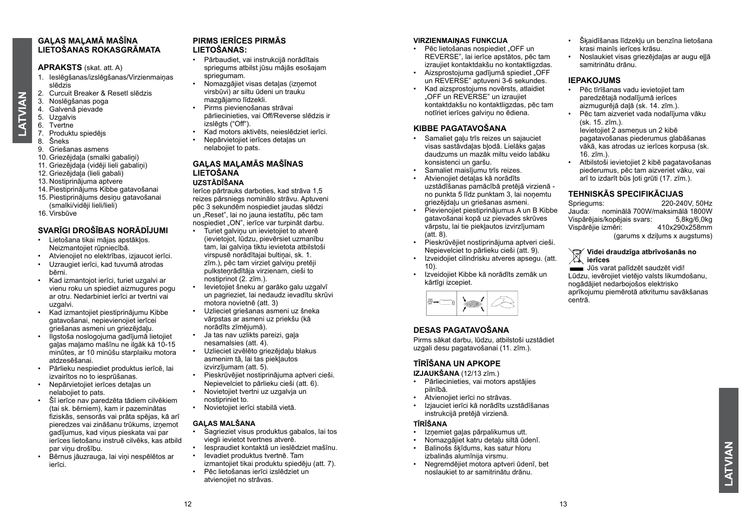**ATVIAN LATVIAN**

#### **APRAKSTS** (skat. att. A)

- 1. Ieslēgšanas/izslēgšanas/Virzienmaiņas slēdzis
- 2. Curcuit Breaker & ResetI slēdzis
- 3. Noslēgšanas poga<br>4. Galvenā pievade
- Galvenā pievade
- 5. Uzgalvis
- 6. Tvertne
- 7. Produktu spiedējs
- 8. Šneks
- 9. Griešanas asmens
- 10. Griezējdaļa (smalki gabaliņi)
- 11. Griezējdaļa (vidēji lieli gabaliņi)
- 12. Griezējdaļa (lieli gabali)
- 13. Nostiprinājuma aptvere
- 14. Piestiprinājums Kibbe gatavošanai
- 15. Piestiprinājums desiņu gatavošanai (smalki/vidēji lieli/lieli)
- 16. Virsbūve

#### **SVARĪGI DROŠĪBAS NORĀDĪJUMI**

- Lietošana tikai mājas apstākļos. Neizmantojiet rūpniecībā.
- Atvienojiet no elektrības, izjaucot ierīci.
- Uzraugiet ierīci, kad tuvumā atrodas bērni.
- Kad izmantojot ierīci, turiet uzgalvi ar vienu roku un spiediet aizmugures pogu ar otru. Nedarbiniet ierīci ar tvertni vai uzgalvi.
- Kad izmantojiet piestiprinājumu Kibbe gatavošanai, nepievienojiet ierīcei griešanas asmeni un griezējdaļu.
- Ilgstoša noslogojuma gadījumā lietojiet gaļas maļamo mašīnu ne ilgāk kā 10-15 minūtes, ar 10 minūšu starplaiku motora atdzesēšanai.
- Pārlieku nespiediet produktus ierīcē, lai izvairītos no to iesprūšanas.
- Nepārvietojiet ierīces detaļas un nelabojiet to pats.
- Šī ierīce nav paredzēta tādiem cilvēkiem (tai sk. bērniem), kam ir pazeminātas fiziskās, sensorās vai prāta spējas, kā arī pieredzes vai zināšanu trūkums, izņemot gadījumus, kad viņus pieskata vai par ierīces lietošanu instruē cilvēks, kas atbild par viņu drošību.
- Bērnus jāuzrauga, lai viņi nespēlētos ar ierīci.

#### **PIRMS IERĪCES PIRMĀS LIETOŠANAS:**

- Pārbaudiet, vai instrukcijā norādītais spriegums atbilst jūsu mājās esošajam spriegumam.
- Nomazgājiet visas detaļas (izņemot virsbūvi) ar siltu ūdeni un trauku mazgājamo līdzekli.
- Pirms pievienošanas strāvai pārliecinieties, vai Off/Reverse slēdzis ir .<br>izslēgts ("Off").
- Kad motors aktivēts, neieslēdziet ierīci.
- Nepārvietojiet ierīces detaļas un nelabojiet to pats.

#### **GAĻAS MAĻAMĀS MAŠĪNAS LIETOŠANA UZSTĀDĪŠANA**

#### Ierīce pārtrauks darboties, kad strāva 1,5 reizes pārsniegs nominālo strāvu. Aptuveni pēc 3 sekundēm nospiediet jaudas slēdzi un "Reset", lai no jauna iestatītu, pēc tam nospiediet "ON", ierīce var turpināt darbu.

- Turiet galviņu un ievietojiet to atverē (ievietojot, lūdzu, pievērsiet uzmanību tam, lai galviņa tiktu ievietota atbilstoši virspusē norādītajai bultiņai, sk. 1. zīm.), pēc tam virziet galviņu pretēji pulksteņrādītāja virzienam, cieši to nostiprinot (2. zīm.).
- Ievietojiet šneku ar garāko galu uzgalvī un pagrieziet, lai nedaudz ievadītu skrūvi motora novietnē (att. 3)
- Uzlieciet griešanas asmeni uz šneka vārpstas ar asmeni uz priekšu (kā norādīts zīmējumā).
- Ja tas nav uzlikts pareizi, gaļa nesamalsies (att. 4).
- Uzlieciet izvēlēto griezējdaļu blakus asmenim tā, lai tas piekļautos izvirzījumam (att. 5).
- Pieskrūvējiet nostiprinājuma aptveri cieši. Nepievelciet to pārlieku cieši (att. 6).
- Novietojiet tvertni uz uzgalvja un nostipriniet to.
- Novietojiet ierīci stabilā vietā.

#### **GAĻAS MALŠANA**

- Sagrieziet visus produktus gabalos, lai tos viegli ievietot tvertnes atverē.
- Iespraudiet kontaktā un ieslēdziet mašīnu.
- Ievadiet produktus tvertnē. Tam
- izmantojiet tikai produktu spiedēju (att. 7). • Pēc lietošanas ierīci izslēdziet un atvienojiet no strāvas.

#### **VIRZIENMAIŅAS FUNKCIJA**

- Pēc lietošanas nospiediet. OFF un REVERSE", lai ierīce apstātos, pēc tam izraujiet kontaktdakšu no kontaktligzdas.
- Aizsprostojuma gadījumā spiediet "OFF un REVERSE" aptuveni 3-6 sekundes.
- Kad aizsprostojums novērsts, atlaidiet "OFF un REVERSE" un izraujiet kontaktdakšu no kontaktligzdas, pēc tam notīriet ierīces galviņu no ēdiena.

#### **KIBBE PAGATAVOŠANA**

- Samaliet gaļu trīs reizes un sajauciet visas sastāvdaļas bļodā. Lielāks gaļas daudzums un mazāk miltu veido labāku konsistenci un garšu.
- Samaliet maisījumu trīs reizes.
- Atvienojiet detaļas kā norādīts uzstādīšanas pamācībā pretējā virzienā no punkta 5 līdz punktam 3, lai noņemtu griezējdaļu un griešanas asmeni.
- Pievienojiet piestiprinājumus A un B Kibbe gatavošanai kopā uz pievades skrūves vārpstu, lai tie piekļautos izvirzījumam  $(\text{att. } 8)$ .
- Pieskrūvējiet nostiprinājuma aptveri cieši. Nepievelciet to pārlieku cieši (att. 9).
- Izveidojiet cilindrisku atveres apsegu. (att. 10).
- Izveidojiet Kibbe kā norādīts zemāk un kārtīgi izcepiet.



#### **DESAS PAGATAVOŠANA**

Pirms sākat darbu, lūdzu, atbilstoši uzstādiet uzgali desu pagatavošanai (11. zīm.).

#### **TĪRĪŠANA UN APKOPE**

- **IZJAUKŠANA** (12/13 zīm.)
- Pārliecinieties, vai motors apstājies pilnībā.
- Atvienojiet ierīci no strāvas.
- Izjauciet ierīci kā norādīts uzstādīšanas instrukcijā pretējā virzienā.

#### **TĪRĪŠANA**

- Izņemiet gaļas pārpalikumus utt.
- Nomazgājiet katru detaļu siltā ūdenī.
- Balinošs šķīdums, kas satur hloru izbalinās alumīnija virsmu.
- Negremdējiet motora aptveri ūdenī, bet noslaukiet to ar samitrinātu drānu.
- Šķaidīšanas līdzekļu un benzīna lietošana krasi mainīs ierīces krāsu.
- Noslaukiet visas griezējdaļas ar augu eļļā samitrinātu drānu.

#### **IEPAKOJUMS**

- Pēc tīrīšanas vadu ievietojiet tam paredzētajā nodalījumā ierīces aizmugurējā daļā (sk. 14. zīm.).
- Pēc tam aizveriet vada nodalījuma vāku  $(sk$  15. zīm.) Ievietojiet 2 asmeņus un 2 kibē pagatavošanas piederumus glabāšanas

vākā, kas atrodas uz ierīces korpusa (sk.  $16.7$  $\text{m}$ ). • Atbilstoši ievietojiet 2 kibē pagatavošanas

piederumus, pēc tam aizveriet vāku, vai arī to izdarīt būs ļoti grūti (17. zīm.).

# **TEHNISKĀS SPECIFIKĀCIJAS**<br>
Spriegums: 220-24

Spriegums: 220-240V, 50Hz Jauda: nominālā 700W/maksimālā 1800W Vispārējais/kopējais svars: 5,8kg/6,0kg Vispārējie izmēri: (garums x dziļums x augstums)

#### **Videi draudzīga atbrīvošanās no ierīces**

Jūs varat palīdzēt saudzēt vidi! Lūdzu, ievērojiet vietējo valsts likumdošanu, nogādājiet nedarbojošos elektrisko aprīkojumu piemērotā atkritumu savākšanas centrā.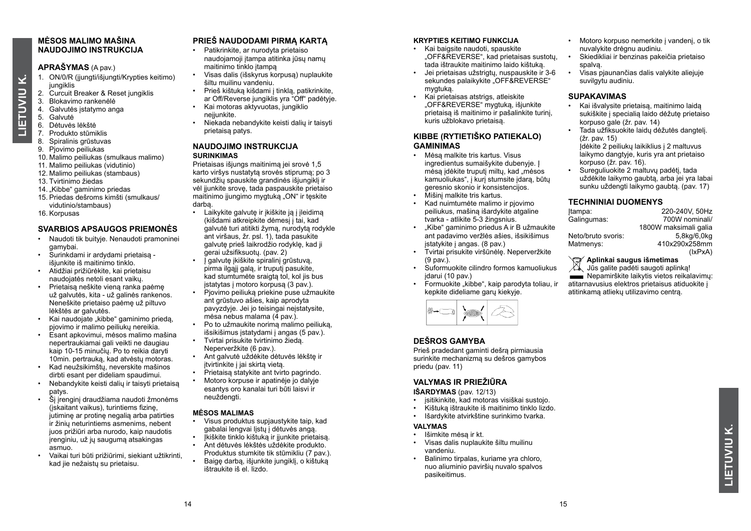#### **MĖSOS MALIMO MAŠINA NAUDOJIMO INSTRUKCIJA**

#### **APRAŠYMAS** (A pav.)

- 1. ON/0/R (įjungti/išjungti/Krypties keitimo) jungiklis
- 2. Curcuit Breaker & Reset jungiklis<br>3. Blokavimo rankenėlė
- 3. Blokavimo rankenėlė<br>4. Galvutės istatymo ang
- 4. Galvutės įstatymo anga
- 5. Galvutė

**LIETUVIU K.**

LIETUVIU

Ϋ

- 6. Dėtuvės lėkštė
- 7. Produkto stūmiklis
- 8. Spiralinis grūstuvas
- 9. Pjovimo peiliukas
- 10. Malimo peiliukas (smulkaus malimo)
- 11. Malimo peiliukas (vidutinio)
- 12. Malimo peiliukas (stambaus)
- 13. Tvirtinimo žiedas
- 14. Kibbe" gaminimo priedas
- 15. Priedas dešroms kimšti (smulkaus/ vidutinio/stambaus)
- 16. Korpusas

#### **SVARBIOS APSAUGOS PRIEMONĖS**

- Naudoti tik buityje. Nenaudoti pramoninei gamybai.
- Surinkdami ir ardydami prietaisą išjunkite iš maitinimo tinklo.
- Atidžiai prižiūrėkite, kai prietaisu naudojatės netoli esant vaikų.
- Prietaisą neškite vieną ranka paėmę už galvutės, kita - už galinės rankenos. Neneškite prietaiso paėmę už piltuvo lėkštės ar galvutės.
- Kai naudojate "kibbe" gaminimo priedą, pjovimo ir malimo peiliukų nereikia.
- Esant apkovimui, mėsos malimo mašina nepertraukiamai gali veikti ne daugiau kaip 10-15 minučių. Po to reikia daryti 10min. pertrauką, kad atvėstų motoras.
- Kad neužsikimštų, neverskite mašinos dirbti esant per dideliam spaudimui.
- Nebandykite keisti dalių ir taisyti prietaisą patys.
- Šį įrenginį draudžiama naudoti žmonėms (įskaitant vaikus), turintiems fizinę, jutimine ar protine negalia arba patirties ir žinių neturintiems asmenims, nebent juos prižiūri arba nurodo, kaip naudotis įrenginiu, už jų saugumą atsakingas asmuo.
- Vaikai turi būti prižiūrimi, siekiant užtikrinti, kad jie nežaistų su prietaisu.

#### **PRIEŠ NAUDODAMI PIRMĄ KARTĄ**

- Patikrinkite, ar nurodyta prietaiso naudojamoji įtampa atitinka jūsų namų maitinimo tinklo įtampa
- Visas dalis (išskyrus korpusą) nuplaukite šiltu muilinu vandeniu.
- Prieš kištuką kišdami į tinklą, patikrinkite, ar Off/Reverse jungiklis yra "Off" padėtyje.
- Kai motoras aktyvuotas, jungiklio neįjunkite
- Niekada nebandykite keisti dalių ir taisyti prietaisą patys.

#### **NAUDOJIMO INSTRUKCIJA SURINKIMAS**

Prietaisas išjungs maitinimą jei srovė 1,5 karto viršys nustatytą srovės stiprumą; po 3 sekundžių spauskite grandinės išiungiklį ir vėl ijunkite srove, tada paspauskite prietaiso maitinimo ijungimo mygtuką "ON" ir tęskite darbą.

- Laikykite galvute ir įkiškite ją į įleidimą (kišdami atkreipkite dėmesį į tai, kad galvutė turi atitikti žymą, nurodytą rodykle ant viršaus, žr. psl. 1), tada pasukite galvutę prieš laikrodžio rodyklę, kad ji gerai užsifiksuotų. (pav. 2) • **Laalvute ikiškite spiralini grūstuva**,
- pirma ilgąjį galą, ir truputį pasukite. kad stumtumėte sraigtą tol, kol jis bus įstatytas į motoro korpusą (3 pav.).
- Piovimo peiliuką priekinę pusę užmaukitę ant grūstuvo ašies, kaip aprodyta pavyzdyje. Jei jo teisingai neįstatysite, mėsa nebus malama (4 pav.).
- Po to užmaukite norimą malimo peiliuką, išsikišimus įstatydami į angas (5 pav.).
- Tvirtai prisukite tvirtinimo žiedą. Neperveržkite (6 pav.).
- Ant galvutė uždėkite dėtuvės lėkštę ir įtvirtinkite į jai skirtą vietą.
- Prietaisą statykite ant tvirto pagrindo.
- Motoro korpuse ir apatinėje jo dalyje esantys oro kanalai turi būti laisvi ir neuždengti.

#### **MĖSOS MALIMAS**

- Visus produktus supjaustykite taip, kad gabalai lengvai lįstų į dėtuvės angą.
- Įkiškite tinklo kištuką ir įjunkite prietaisą.
- Ant dėtuvės lėkštės uždėkite produkto. Produktus stumkite tik stūmikliu (7 pav.).
- Baige darba, išiunkite jungiklį, o kištuka ištraukite iš el. lizdo.

#### **KRYPTIES KEITIMO FUNKCIJA**

- Kai baigsite naudoti, spauskite "OFF&REVERSE", kad prietaisas sustotų, tada ištraukite maitinimo laido kištuką.
- Jei prietaisas užstrigtų, nuspauskite ir 3-6 sekundes palaikykite "OFF&REVERSE" mygtuką.
- Kai prietaisas atstrigs, atleiskite "OFF&REVERSE" mygtuką, išjunkite prietaisą iš maitinimo ir pašalinkite turinį, kuris užblokavo prietaisą.

#### **KIBBE (RYTIETIŠKO PATIEKALO) GAMINIMAS**

- Mėsą malkite tris kartus. Visus ingredientus sumaišykite dubenyje. Į mėsą įdėkite truputį miltų, kad mėsos kamuoliukas", į kurį stumsite įdarą, būtų geresnio skonio ir konsistencijos.
- Mišinį malkite tris kartus.
- Kad nuimtumėte malimo ir pjovimo peiliukus, mašiną išardykite atgaline tvarka - atlikite 5-3 žingsnius.
- "Kibe" gaminimo priedus A ir B užmaukite ant padavimo veržlės ašies, išsikišimus įstatykite į angas. (8 pav.)
- Tvirtai prisukite viršūnėlę. Neperveržkite  $(9 \text{ nav})$
- Suformuokite cilindro formos kamuoliukus įdarui (10 pav.)
- Formuokite "kibbe", kaip parodyta toliau, ir kepkite dideliame garų kiekyje.



#### **DEŠROS GAMYBA**

Prieš pradedant gaminti dešrą pirmiausia surinkite mechanizmą su dešros gamybos priedu (pav. 11)

#### **VALYMAS IR PRIEŽIŪRA**

#### **IŠARDYMAS** (pav. 12/13)<br> **•** isitikinkite kad motoras

- įsitikinkite, kad motoras visiškai sustojo.
- Kištuką ištraukite iš maitinimo tinklo lizdo.
- Išardykite atvirkštine surinkimo tvarka.

#### **VALYMAS**

- Išimkite mėsą ir kt.<br>• Visas dalis nunlauk
- Visas dalis nuplaukite šiltu muilinu vandeniu.
- Balinimo tirpalas, kuriame yra chloro, nuo aliuminio paviršių nuvalo spalvos pasikeitimus.
- Motoro korpuso nemerkite į vandenį, o tik nuvalykite drėgnu audiniu.
- Skiedikliai ir benzinas pakeičia prietaiso spalvą.
- Visas pjaunančias dalis valykite aliejuje suvilgytu audiniu.

#### **SUPAKAVIMAS**

- Kai išvalysite prietaisą, maitinimo laidą sukiškite į specialią laido dėžutę prietaiso korpuso gale (žr. pav. 14)
- Tada užfiksuokite laidų dėžutės dangtelį.  $(7r$  pav. 15) Įdėkite 2 peiliukų laikiklius į 2 maltuvus laikymo dangtyje, kuris yra ant prietaiso korpuso  $(2r)$ . pav. 16).
- Sureguliuokite 2 maltuvų padėtį, tada uždėkite laikymo gaubtą, arba jei yra labai sunku uždengti laikymo gaubtą. (pav. 17)

#### **TECHNINIAI DUOMENYS**

| 220-240V, 50Hz        |
|-----------------------|
| 700W nominali/        |
| 1800W maksimali galia |
| 5,8kg/6,0kg           |
| 410x290x258mm         |
| (lxPxA)               |
|                       |

#### **Aplinkai saugus išmetimas**

 $\frac{1}{2}$  Jūs galite padėti saugoti aplinką! **ELECT** Nepamirškite laikytis vietos reikalavimų: atitarnavusius elektros prietaisus atiduokite į atitinkamą atliekų utilizavimo centrą.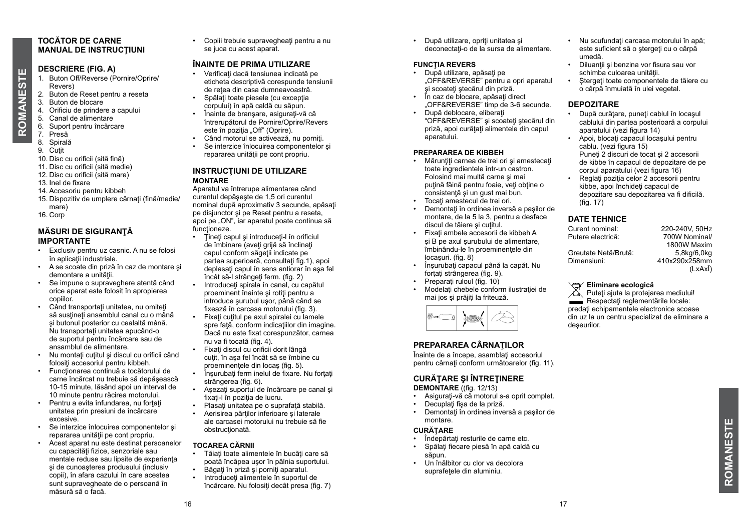# **ROMANESTE ROMANESTE**

#### **TOCĂTOR DE CARNE MANUAL DE INSTRUCŢIUNI**

#### **DESCRIERE (FIG. A)**

- 1. Buton Off/Reverse (Pornire/Oprire/ Revers)
- 2. Buton de Reset pentru a reseta
- 3. Buton de blocare
- 4. Orificiu de prindere a capului
- 5. Canal de alimentare
- 6. Suport pentru încărcare
- 7. Presă
- 8. Spirală
- 9. Cutit
- 10. Disc cu orificii (sită fină)
- 11. Disc cu orificii (sită medie)
- 12. Disc cu orificii (sită mare)
- 13. Inel de fixare
- 14. Accesoriu pentru kibbeh
- 15. Dispozitiv de umplere cârnați (fină/medie/ mare)
- 16. Corp

#### **MĂSURI DE SIGURANŢĂ IMPORTANTE**

- Exclusiv pentru uz casnic. A nu se folosi în aplicaţii industriale.
- A se scoate din priză în caz de montare şi demontare a unității.
- Se impune o supraveghere atentă când orice aparat este folosit în apropierea copiilor.
- Când transportați unitatea, nu omiteți să sustineți ansamblul canal cu o mână şi butonul posterior cu cealaltă mână. Nu transportați unitatea apucând-o de suportul pentru încărcare sau de ansamblul de alimentare.
- Nu montați cuțitul și discul cu orificii când folositi accesoriul pentru kibbeh.
- Funcţionarea continuă a tocătorului de carne încărcat nu trebuie să depăşească 10-15 minute, lăsând apoi un interval de 10 minute pentru răcirea motorului.
- Pentru a evita înfundarea, nu fortați unitatea prin presiuni de încărcare excesive.
- Se interzice înlocuirea componentelor şi repararea unității pe cont propriu.
- Acest aparat nu este destinat persoanelor cu capacități fizice, senzoriale sau mentale reduse sau lipsite de experienţa şi de cunoaşterea produsului (inclusiv copii), în afara cazului în care acestea sunt supravegheate de o persoană în măsură să o facă.

• Copiii trebuie supravegheati pentru a nu se juca cu acest aparat.

#### **ÎNAINTE DE PRIMA UTILIZARE**

- Verificaţi dacă tensiunea indicată pe eticheta descriptivă corespunde tensiunii de rețea din casa dumneavoastră.
- Spălați toate piesele (cu excepția corpului) în apă caldă cu săpun.
- Înainte de bransare, asigurați-vă că întrerupătorul de Pornire/Oprire/Revers este în pozitia "Off" (Oprire).
- Când motorul se activează, nu porniți.
- Se interzice înlocuirea componentelor şi repararea unității pe cont propriu.

#### **INSTRUCŢIUNI DE UTILIZARE MONTARE**

Aparatul va întrerupe alimentarea când curentul depăşeşte de 1,5 ori curentul nominal după aproximativ 3 secunde, apăsați pe disjunctor şi pe Reset pentru a reseta, apoi pe "ON", iar aparatul poate continua să functioneze.

- Tineti capul și introduceți-l în orificiul de îmbinare (aveți grijă să înclinați capul conform săgeții indicate pe partea superioară, consultați fig.1), apoi deplasati capul în sens antiorar în asa fel încât să-l strângeți ferm. (fig. 2)
- Introduceţi spirala în canal, cu capătul proeminent înainte și rotiti pentru a introduce şurubul uşor, până când se fixează în carcasa motorului (fig. 3).
- Fixati cutitul pe axul spiralei cu lamele spre față, conform indicațiilor din imagine. Dacă nu este fixat corespunzător, carnea nu va fi tocată (fig. 4).
- Fixati discul cu orificii dorit lângă cutit, în asa fel încât să se îmbine cu proeminentele din locas (fig. 5).
- Însurubati ferm inelul de fixare. Nu fortati strângerea (fig. 6).
- Asezati suportul de încărcare pe canal și fixati-l în pozitia de lucru.
- Plasaţi unitatea pe o suprafaţă stabilă.
- Aerisirea părților inferioare și laterale ale carcasei motorului nu trebuie să fie obstructionată.

#### **TOCAREA CĂRNII**

- Tăiați toate alimentele în bucăți care să poată încăpea uşor în pâlnia suportului.
- Băgați în priză și porniți aparatul.<br>• Introduceți alimentele în suportul
- Introduceti alimentele în suportul de încărcare. Nu folositi decât presa (fig. 7)

• După utilizare, opriți unitatea și deconectati-o de la sursa de alimentare.

#### **FUNCŢIA REVERS**

- După utilizare, apăsați pe "OFF&REVERSE" pentru a opri aparatul şi scoateţi ştecărul din priză.
- În caz de blocare, apăsați direct "OFF&REVERSE" timp de 3-6 secunde.
- După deblocare, eliberaţi "OFF&REVERSE" şi scoateţi ştecărul din priză, apoi curățați alimentele din capul aparatului.

#### **PREPARAREA DE KIBBEH**

- Mărunţiţi carnea de trei ori şi amestecaţi toate ingredientele într-un castron. Folosind mai multă carne şi mai puțină făină pentru foaie, veți obține o consistenţă şi un gust mai bun.
- Tocați amestecul de trei ori.
- montare, de la 5 la 3, pentru a desface discul de tăiere şi cuţitul.
- şi B pe axul şurubului de alimentare, îmbinându-le în proeminenţele din locaşuri. (fig. 8)
- Însurubați capacul până la capăt. Nu forțați strângerea (fig. 9).
- Preparati ruloul (fig. 10)
- Modelaţi chebele conform ilustraţiei de mai jos şi prăjiţi la friteuză.



#### **PREPARAREA CÂRNAŢILOR**

Înainte de a începe, asamblati accesoriul pentru cârnați conform următoarelor (fig. 11).

#### **CURĂŢARE ŞI ÎNTREŢINERE**

**DEMONTARE** ((fig. 12/13)<br> **•** Asigurati-vă că motorul Asigurati-vă că motorul s-a oprit complet

- Decuplați fisa de la priză.
- Demontaţi în ordinea inversă a paşilor de montare.

#### **CURĂŢARE**

- Îndepărtați resturile de carne etc.
- Spălaţi fiecare piesă în apă caldă cu săpun.
- Un înălbitor cu clor va decolora suprafetele din aluminiu.
- Nu scufundați carcasa motorului în apă; este suficient să o stergeți cu o cârpă umedă.
- Diluantii și benzina vor fisura sau vor schimba culoarea unității.
- Stergeti toate componentele de tăiere cu o cârpă înmuiată în ulei vegetal.

#### **DEPOZITARE**

- După curătare, puneți cablul în locasul cablului din partea posterioară a corpului aparatului (vezi figura 14)
- Apoi, blocati capacul locasului pentru cablu. (vezi figura 15) Puneti 2 discuri de tocat și 2 accesorii de kibbe în capacul de depozitare de pe corpul aparatului (vezi figura 16)
- Reglati pozitia celor 2 accesorii pentru kibbe, apoi închideți capacul de depozitare sau depozitarea va fi dificilă.  $(fia. 17)$

## **DATE TEHNICE**<br>Curent nominal:

Putere electrică:

Greutate Netă/Brută:<br>Dimensiuni:

220-240V, 50Hz<br>700W Nominal/ 1800W Maxim<br>5 8kg/6 0kg Dimensiuni: 410x290x258mm (LxAxÎ)

#### **Eliminare ecologică**

 $\boxtimes$ Puteti ajuta la protejarea mediului! Respectati reglementările locale: predati echipamentele electronice scoase din uz la un centru specializat de eliminare a deşeurilor.

- Demontaţi în ordinea inversă a paşilor de
- Fixaţi ambele accesorii de kibbeh A
- 
-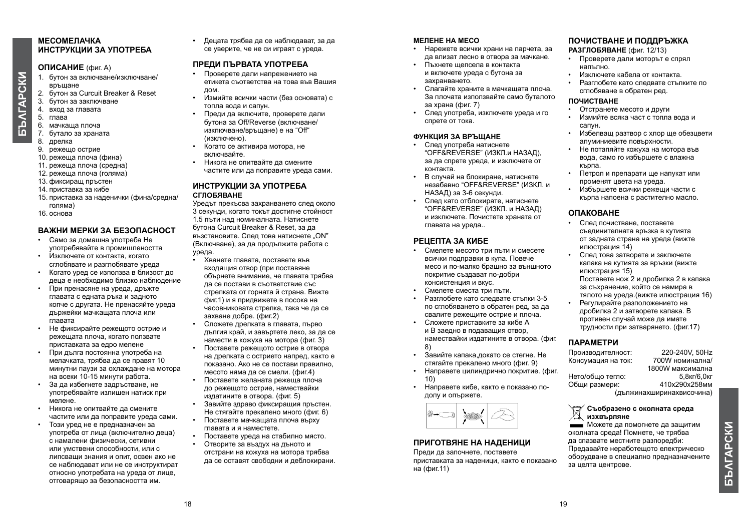#### **МЕСОМЕЛАЧКА ИНСТРУКЦИИ ЗА УПОТРЕБА**

#### **ОПИСАНИЕ** (фиг. A)

- 1. бутон за включване/изключване/ връщане
- 2. бутон за Curcuit Breaker & Reset
- 3. бутон за заключване
- 4. вход за главата
- *<b>GANTAPCKN* **БЪΛГАРСКИ** 5. глава
	- 6. мачкаща плоча 7. бутало за храната
	- 8. дрелка
	- 9. режещо острие
	- 10. режеща плоча (фина)
	- 11. режеща плоча (средна)
	- 12. режеща плоча (голяма)
	- 13. фиксиращ пръстен
	- 14. приставка за кибе
	- 15. приставка за наденички (фина/средна/ голяма)
	- 16. основа

#### **ВАЖНИ МЕРКИ ЗА БЕЗОПАСНОСТ**

- Само за домашна употреба Не употребявайте в промишлеността
- Изключете от контакта, когато сглобявате и разглобявате уреда
- Когато уред се използва в близост до деца е необходимо близко наблюдение
- При пренасяне на уреда, дръжте главата с едната ръка и задното копче с другата. Не пренасяйте уреда държейки мачкащата плоча или главата
- Не фиксирайте режещото острие и режещата плоча, когато ползвате приставката за едро мелене
- При дълга постоянна употреба на мелачката, трябва да се правят 10 минутни паузи за охлаждане на мотора на всеки 10-15 минути работа.
- За да избегнете задръстване, не употребявайте излишен натиск при мелене.
- Никога не опитвайте да смените частите или да поправите уреда сами.
- Този уред не е предназначен за употреба от лица (включително деца) с намалени физически, сетивни или умствени способности, или с липсващи знания и опит, освен ако не се наблюдават или не се инструктират относно употребата на уредa от лице, отговарящо за безопасността им.

• Децата трябва да се наблюдават, за да се уверите, че не си играят с уреда.

#### **ПРЕДИ ПЪРВАТА УПОТРЕБА**

- Проверете дали напрежението на етикета съответства на това във Вашия дом.
- Измийте всички части (без основата) с топла вода и сапун.
- Преди да включите, проверете дали бутона за Off/Reverse (включване/ изключване/връщане) е на "Off" (изключено).
- $\overline{a}$ Когато се активира мотора, не включвайте.
- Никога не опитвайте да смените частите или да поправите уреда сами.

#### **ИНСТРУКЦИИ ЗА УПОТРЕБА СГЛОБЯВАНЕ**

Уредът прекъсва захранването след около 3 секунди, когато токът достигне стойност 1.5 пъти над номиналната. Натиснете бутона Curcuit Breaker & Reset, за да възстановите. След това натиснете. ОN" (Включване), за да продължите работа с уреда.

- Хванете главата, поставете във входящия отвор (при поставяне обърнете внимание, че главата трябва да се постави в съответствие със стрелката от горната й страна. Вижте фиг.1) и я придвижете в посока на часовниковата стрелка, така че да се захване добре. (фиг.2)
- Сложете дрелката в главата, първо дългия край, и завъртете леко, за да се намести в кожуха на мотора (фиг. 3)
- Поставете режещото острие в отвора на дрелката с острието напред, както е показано. Ако не се постави правилно, месото няма да се смели. (фиг.4)
- Поставете желаната режеща плоча до режещото острие, намествайки издатините в отвора. (фиг. 5)
- Завийте здраво фиксиращия пръстен. Не стягайте прекалено много (фиг. 6) • Поставете мачкащата плоча върху
- главата и я наместете. • Поставете уреда на стабилно място.
- Отворите за въздух на дъното и отстрани на кожуха на мотора трябва да се оставят свободни и деблокирани.

#### **МЕЛЕНЕ НА МЕСО**

- Нарежете всички храни на парчета, за да влизат лесно в отвора за мачкане.
- Пъхнете щепсела в контакта и включете уреда с бутона за захранването.
- Слагайте храните в мачкащата плоча. За плочата използвайте само буталото за храна (фиг. 7)
- След употреба, изключете уреда и го спрете от тока.

#### **ФУНКЦИЯ ЗА ВРЪЩАНЕ**

- След употреба натиснете "OFF&REVERSE" (ИЗКЛ.и НАЗАД), за да спрете уреда, и изключете от контакта.
- В случай на блокиране, натиснете незабавно "OFF&REVERSE" (ИЗКЛ. и НАЗАД) за 3-6 секунди.
- След като отблокирате, натиснете "OFF&REVERSE" (ИЗКЛ. и НАЗАД) и изключете. Почистете храната от главата на уреда..

#### **РЕЦЕПТА ЗА КИБЕ**

- Смелете месото три пъти и смесете всички подправки в купа. Повече месо и по-малко брашно за външното покритие създават по-добри консистенция и вкус.
- Смелете сместа три пъти.
- Разглобете като следвате стъпки 3-5 по сглобяването в обратен ред, за да свалите режещите острие и плоча.
- Сложете приставките за кибе А и В заедно в подаващия отвор, намествайки издатините в отвора. (фиг. 8)
- Завийте капака,докато се стегне. Не стягайте прекалено много (фиг. 9)
- Направете цилиндрично покритие. (фиг. 10)
- Направете кибе, както е показано подолу и опържете.



#### **ПРИГОТВЯНЕ НА НАДЕНИЦИ**

Преди да започнете, поставете приставката за наденици, както е показано на (фиг.11)

#### **ПОЧИСТВАНЕ И ПОДДРЪЖКА**

**РАЗГЛОБЯВАНЕ** (фиг. 12/13)

- Проверете дали моторът е спрял напълно.
- Изключете кабела от контакта.
- Разглобете като следвате стъпките по сглобяване в обратен ред.

#### **ПОЧИСТВАНЕ**

- Отстранете месото и други
- Измийте всяка част с топла вода и сапун.
- Избелващ разтвор с хлор ще обезцвети алуминиевите повърхности.
- Не потапяйте кожуха на мотора във вода, само го избършете с влажна кърпа.
- Петрол и препарати ще напукат или променят цвета на уреда.
- Избършете всички режещи части с кърпа напоена с растително масло.

#### **ОПАКОВАНЕ**

- След почистване, поставете съединителната връзка в кутията от задната страна на уреда (вижте илюстрация 14)
- След това затворете и заключете капака на кутията за връзки (вижте илюстрация 15) Поставете нож 2 и дробилка 2 в капака за съхранение, който се намира в тялото на уреда.(вижте илюстрация 16)
- Регулирайте разположението на дробилка 2 и затворете капака. В противен случай може да имате трудности при затварянето. (фиг.17)

#### **ПАРАМЕТРИ**

Производителност: 220-240V, 50Hz Консумация на ток: 1800W максимална<br>5.8кг/6.0кг Нето/общо тегло: 5,8кг/6,0кг<br>Общи размери: 410x290x258мм Общи размери: (дължинахширинахвисочина)

#### **Съобразено с околната среда изхвърляне**

Можете да помогнете да защитим околната среда! Помнете, че трябва да спазвате местните разпоредби: Предавайте неработещото електрическо оборудване в специално предназначените за целта центрове.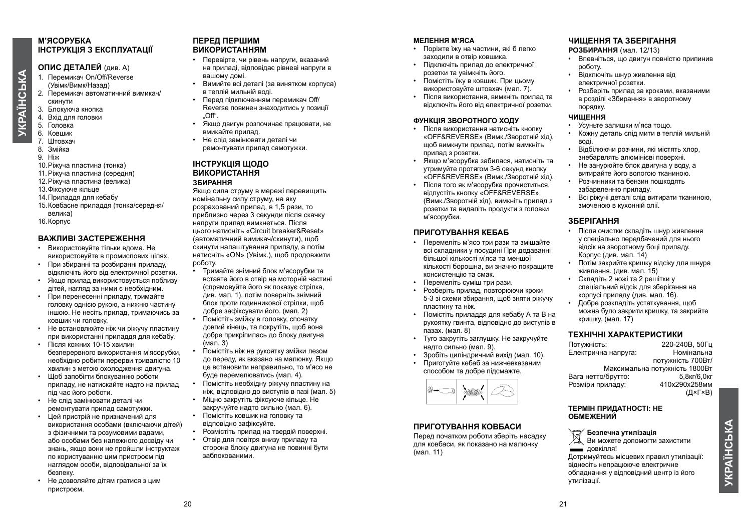#### **М'ЯСОРУБКА ІНСТРУКЦІЯ З ЕКСПЛУАТАЦІЇ**

#### **ОПИС ДЕТАЛЕЙ** (див. А)

- 1. Перемикач On/Off/Reverse (Увімк/Вимк/Назад)
- 2. Перемикач автоматичний вимикач/ скинути
- 3. Блокуюча кнопка
- 4. Вхід для головки
- 5. Головка
- 6. Ковшик
- 7. Штовхач
- 8. Змійка
- 9. Ніж
- 10.Ріжуча пластина (тонка)
- 11.Ріжуча пластина (середня)
- 12.Ріжуча пластина (велика)
- 13.Фіксуюче кільце
- 14.Приладдя для кебабу
- 15.Ковбасне приладдя (тонка/середня/ велика)

16.Корпус

#### **ВАЖЛИВІ ЗАСТЕРЕЖЕННЯ**

- Використовуйте тільки вдома. Не використовуйте в промислових цілях.
- При збиранні та розбиранні приладу, відключіть його від електричної розетки.
- Якщо прилад використовується поблизу дітей, нагляд за ними є необхідним.
- При перенесенні приладу, тримайте головку однією рукою, а нижню частину іншою. Не несіть прилад, тримаючись за ковшик чи головку.
- Не встановлюйте ніж чи ріжучу пластину при використанні приладдя для кебабу.
- Після кожних 10-15 хвилин безперервного використання м'ясорубки, необхідно робити перерви тривалістю 10 хвилин з метою охолодження двигуна.
- Щоб запобігти блокуванню роботи приладу, не натискайте надто на прилад під час його роботи.
- Не слід замінювати деталі чи ремонтувати прилад самотужки.
- Цей пристрій не призначений для використання особами (включаючи дітей) з фізичними та розумовими вадами, або особами без належного досвіду чи знань, якщо вони не пройшли інструктаж по користуванню цим пристроєм під наглядом особи, відповідальної за їх безпеку.
- Не дозволяйте дітям гратися з цим пристроєм.

#### **ПЕРЕД ПЕРШИМ ВИКОРИСТАННЯМ**

- Перевірте, чи рівень напруги, вказаний на приладі, відповідає рівневі напруги в вашому домі.
- Вимийте всі деталі (за винятком корпуса) в теплій мильній воді.
- Перед підключенням перемикач Off/ Reverse повинен знаходитись у позиції  $.$  Off".
- Якщо двигун розпочинає працювати, не вмикайте прилад.
- Не слід замінювати деталі чи ремонтувати прилад самотужки.

#### **ІНСТРУКЦІЯ ЩОДО ВИКОРИСТАННЯ ЗБИРАННЯ**

Якщо сила струму в мережі перевищить номінальну силу струму, на яку розрахований прилад, в 1,5 рази, то приблизно через 3 секунди після скачку напруги прилад вимкнеться. Після цього натисніть «Circuit breaker&Reset» (автоматичний вимикач/скинути), щоб скинути налаштування приладу, а потім натисніть «ON» (Увімк.), щоб продовжити роботу.

- Тримайте знімний блок м'ясорубки та вставте його в отвір на моторній частині (спрямовуйте його як показує стрілка, див. мал. 1), потім поверніть знімний блок проти годинникової стрілки, щоб добре зафіксувати його. (мал. 2) • Помістіть змійку в головку, спочатку довгий кінець, та покрутіть, щоб вона добре прикріпилась до блоку двигуна
- (мал. 3) • Помістіть ніж на рукоятку змійки лезом до переду, як вказано на малюнку. Якщо це встановити неправильно, то м'ясо не буде перемелюватись (мал. 4).
- Помістіть необхідну ріжучу пластину на ніж, відповідно до виступів в пазі (мал. 5)
- Міцно закрутіть фіксуюче кільце. Не закручуйте надто сильно (мал. 6).
- Помістіть ковшик на головку та відповідно зафіксуйте.
- Розмістіть прилад на твердій поверхні.
- Отвір для повітря внизу приладу та сторона блоку двигуна не повинні бути заблокованими.

#### **МЕЛЕННЯ М'ЯСА**

- Поріжте їжу на частини, які б легко заходили в отвір ковшика.
- Підключіть прилад до електричної розетки та увімкніть його.
- Помістіть їжу в ковшик. При цьому використовуйте штовхач (мал. 7).
- Після використання, вимкніть прилад та відключіть його від електричної розетки.

#### **ФУНКЦІЯ ЗВОРОТНОГО ХОДУ**

- Після використання натисніть кнопку «OFF&REVERSE» (Вимк./Зворотній хід), щоб вимкнути прилад, потім вимкніть прилад з розетки.
- Якщо м'ясорубка забилася, натисніть та утримуйте протягом 3-6 секунд кнопку «OFF&REVERSE» (Вимк./Зворотній хід).
- Після того як м'ясорубка прочиститься, відпустіть кнопку «OFF&REVERSE» (Вимк./Зворотній хід), вимкніть прилад з розетки та видаліть продукти з головки м'ясорубки.

#### **ПРИГОТУВАННЯ КЕБАБ**

- Перемеліть м'ясо три рази та змішайте всі складники у посудині При додаванні більшої кількості м'яса та меншої кількості борошна, ви значно покращите консистенцію та смак.
- Перемеліть суміш три рази.
- Розберіть прилад, повторюючи кроки 5-3 зі схеми збирання, щоб зняти ріжучу пластину та ніж.
- Помістіть приладдя для кебабу А та В на рукоятку гвинта, відповідно до виступів в пазах. (мал. 8)
- Туго закрутіть заглушку. Не закручуйте надто сильно (мал. 9).
- Зробіть циліндричний вихід (мал. 10).
- Приготуйте кебаб за нижчевказаним способом та добре підсмажте.



#### **ПРИГОТУВАННЯ КОВБАСИ**

Перед початком роботи зберіть насадку для ковбаси, як показано на малюнку (мал. 11)

#### **ЧИЩЕННЯ ТА ЗБЕРІГАННЯ**

**РОЗБИРАННЯ** (мал. 12/13)

- Впевніться, що двигун повністю припинив роботу.
- Відключіть шнур живлення від електричної розетки.
- Розберіть припал за кроками, вказаними в розділі «Збирання» в зворотному порядку.

#### **ЧИЩЕННЯ**

- Усуньте залишки м'яса тощо.
- Кожну деталь слід мити в теплій мильній воді.
- Відбілюючи розчини, які містять хлор, знебарвлять алюмінієві поверхні.
- Не занурюйте блок двигуна у воду, а витирайте його вологою тканиною.
- Розчинники та бензин пошкодять забарвленню приладу.
- Всі ріжучі деталі слід витирати тканиною, змоченою в кухонній олії.

#### **ЗБЕРІГАННЯ**

- Після очистки складіть шнур живлення у спеціально передбачений для нього відсік на зворотному боці приладу. Корпус (див. мал. 14)
- Потім закрийте кришку відсіку для шнура живлення. (див. мал. 15)
- Складіть 2 ножі та 2 решітки у спеціальний відсік для зберігання на корпусі приладу (див. мал. 16).
- Добре розкладіть устаткування, щоб можна було закрити кришку, та закрийте кришку. (мал. 17)

#### **ТЕХНІЧНІ ХАРАКТЕРИСТИКИ**

Потужність: 220-240В, 50Гц Електрична напруга: потужність 700Вт/ Максимальна потужність 1800Вт Вага нетто/брутто: 5,8кг/6,0кг Розміри приладу: (Д×Г×В)

#### **ТЕРМІН ПРИДАТНОСТІ: НЕ ОБМЕЖЕНИЙ**

**Безпечна утилізація**

Ви можете допомогти захистити довкілля!

Дотримуйтесь місцевих правил утилізації: віднесіть непрацююче електричне обладнання у відповідний центр із його утилізації.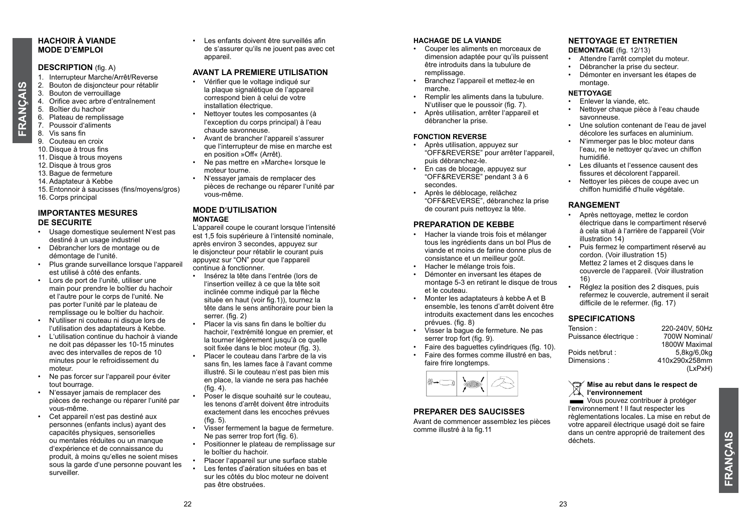#### **HACHOIR À VIANDE MODE D'EMPLOI**

#### **DESCRIPTION** (fig. A)

- 1. Interrupteur Marche/Arrêt/Reverse
- 2. Bouton de disjoncteur pour rétablir
- 3. Bouton de verrouillage
- 4. Orifice avec arbre d'entraînement<br>5. Boîtier du hachoir
- 5. Boîtier du hachoir
- 6. Plateau de remplissage
- 7. Poussoir d'aliments
- 8. Vis sans fin

FRANÇAIS **FRANÇAIS**

- 9. Couteau en croix
- 10. Disque à trous fins
- 11. Disque à trous moyens
- 12. Disque à trous gros
- 13. Bague de fermeture
- 14. Adaptateur à Kebbe

15. Entonnoir à saucisses (fins/moyens/gros) 16. Corps principal

#### **IMPORTANTES MESURES DE SECURITE**

- Usage domestique seulement N'est pas destiné à un usage industriel
- Débrancher lors de montage ou de démontage de l'unité.
- Plus grande surveillance lorsque l'appareil est utilisé à côté des enfants.
- Lors de port de l'unité, utiliser une main pour prendre le boîtier du hachoir et l'autre pour le corps de l'unité. Ne pas porter l'unité par le plateau de remplissage ou le boîtier du hachoir.
- N'utiliser ni couteau ni disque lors de l'utilisation des adaptateurs à Kebbe.
- L'utilisation continue du hachoir à viande ne doit pas dépasser les 10-15 minutes avec des intervalles de repos de 10 minutes pour le refroidissement du moteur.
- Ne pas forcer sur l'appareil pour éviter tout bourrage.
- N'essayer jamais de remplacer des pièces de rechange ou réparer l'unité par vous-même.
- Cet appareil n'est pas destiné aux personnes (enfants inclus) ayant des capacités physiques, sensorielles ou mentales réduites ou un manque d'expérience et de connaissance du produit, à moins qu'elles ne soient mises sous la garde d'une personne pouvant les surveiller.

• Les enfants doivent être surveillés afin de s'assurer qu'ils ne jouent pas avec cet appareil

#### **AVANT LA PREMIERE UTILISATION**

- Vérifier que le voltage indiqué sur la plaque signalétique de l'appareil correspond bien à celui de votre installation électrique.
- Nettoyer toutes les composantes (à l'exception du corps principal) à l'eau chaude savonneuse.
- Avant de brancher l'appareil s'assurer que l'interrupteur de mise en marche est en position »Off« (Arrêt).
- Ne pas mettre en »Marche« lorsque le moteur tourne.
- N'essayer jamais de remplacer des
- pièces de rechange ou réparer l'unité par vous-même.

#### **MODE D'UTILISATION MONTAGE**

L'appareil coupe le courant lorsque l'intensité est 1,5 fois supérieure à l'intensité nominale après environ 3 secondes, appuyez sur le disjoncteur pour rétablir le courant puis appuyez sur "ON" pour que l'appareil continue à fonctionner.

- Insérez la tête dans l'entrée (lors de l'insertion veillez à ce que la tête soit inclinée comme indiqué par la flèche située en haut (voir fig.1)), tournez la tête dans le sens antihoraire pour bien la serrer. (fig. 2)
- Placer la vis sans fin dans le boîtier du hachoir, l'extrémité longue en premier, et la tourner légèrement jusqu'à ce quelle soit fixée dans le bloc moteur (fig. 3).
- Placer le couteau dans l'arbre de la vis sans fin, les lames face à l'avant comme illustré. Si le couteau n'est pas bien mis en place, la viande ne sera pas hachée (fig. 4).
- Poser le disque souhaité sur le couteau, les tenons d'arrêt doivent être introduits exactement dans les encoches prévues (fig. 5).
- Visser fermement la bague de fermeture. Ne pas serrer trop fort (fig. 6).
- Positionner le plateau de remplissage sur le boîtier du hachoir.
	- Placer l'appareil sur une surface stable
	- Les fentes d'aération situées en bas et sur les côtés du bloc moteur ne doivent pas être obstruées.

#### **HACHAGE DE LA VIANDE**

- Couper les aliments en morceaux de dimension adaptée pour qu'ils puissent être introduits dans la tubulure de remplissage.
- Branchez l'appareil et mettez-le en marche.
- Remplir les aliments dans la tubulure. N'utiliser que le poussoir (fig. 7).
- Après utilisation, arrêter l'appareil et débrancher la prise.

#### **FONCTION REVERSE**

- Après utilisation, appuyez sur "OFF&REVERSE" pour arrêter l'appareil, puis débranchez-le.
- En cas de blocage, appuyez sur "OFF&REVERSE" pendant 3 à 6 secondes.
- Après le déblocage, relâchez "OFF&REVERSE", débranchez la prise de courant puis nettoyez la tête.

#### **PREPARATION DE KEBBE**

- Hacher la viande trois fois et mélanger tous les ingrédients dans un bol Plus de viande et moins de farine donne plus de consistance et un meilleur goût.
- Hacher le mélange trois fois.
- Démonter en inversant les étapes de montage 5-3 en retirant le disque de trous et le couteau.
- Monter les adaptateurs à kebbe A et B ensemble, les tenons d'arrêt doivent être introduits exactement dans les encoches prévues. (fig. 8)
- Visser la bague de fermeture. Ne pas serrer trop fort (fig. 9).
- Faire des baguettes cylindriques (fig. 10).
- Faire des formes comme illustré en bas, faire frire longtemps.



#### **PREPARER DES SAUCISSES**

Avant de commencer assemblez les pièces comme illustré à la fig.11

#### **NETTOYAGE ET ENTRETIEN**

**DEMONTAGE** (fig. 12/13)

- Attendre l'arrêt complet du moteur.
- Débrancher la prise du secteur.
- Démonter en inversant les étapes de montage.

#### **NETTOYAGE**

- Enlever la viande, etc.
- Nettoyer chaque pièce à l'eau chaude savonneuse.
- Une solution contenant de l'eau de javel décolore les surfaces en aluminium.
- N'immerger pas le bloc moteur dans l'eau, ne le nettoyer qu'avec un chiffon humidifié.
- Les diluants et l'essence causent des fissures et décolorent l'appareil.
- Nettoyer les pièces de coupe avec un chiffon humidifié d'huile végétale.

#### **RANGEMENT**

- Après nettoyage, mettez le cordon électrique dans le compartiment réservé à cela situé à l'arrière de l'appareil (Voir illustration 14)
- Puis fermez le compartiment réservé au cordon. (Voir illustration 15) Mettez 2 lames et 2 disques dans le couvercle de l'appareil. (Voir illustration 16)
- Réglez la position des 2 disques, puis refermez le couvercle, autrement il serait difficile de le refermer. (fig. 17)

#### **SPECIFICATIONS**

| Tension:               | 220-240V, 50Hz |
|------------------------|----------------|
| Puissance électrique : | 700W Nominal/  |
|                        | 1800W Maximal  |
| Poids net/brut :       | 5,8kg/6,0kg    |
| Dimensions:            | 410x290x258mm  |
|                        | (LxPxH)        |
|                        |                |

#### **Mise au rebut dans le respect de I'm Mise au rebut dan<br>A** l'environnement

Vous pouvez contribuer à protéger l'environnement ! Il faut respecter les règlementations locales. La mise en rebut de votre appareil électrique usagé doit se faire dans un centre approprié de traitement des déchets.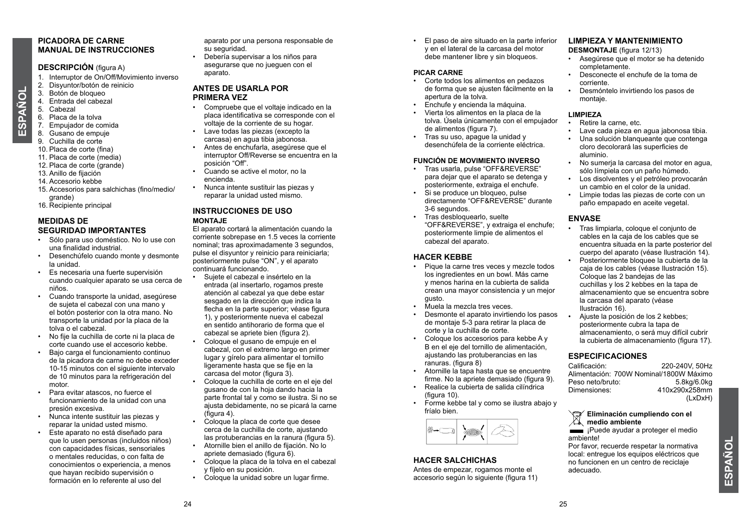#### **PICADORA DE CARNE MANUAL DE INSTRUCCIONES**

#### **DESCRIPCIÓN** (figura A)

- 1. Interruptor de On/Off/Movimiento inverso
- 2. Disyuntor/botón de reinicio
- 3. Botón de bloqueo
- 4. Entrada del cabezal<br>5. Cabezal
- Cabezal 6. Placa de la tolva

**ESPAÑOL**

ESPAÑOL

- 7. Empujador de comida
- 8. Gusano de empuje
- 9. Cuchilla de corte
- 10. Placa de corte (fina)
- 11. Placa de corte (media)
- 12. Placa de corte (grande)
- 13. Anillo de fijación
- 14. Accesorio kebbe
- 15. Accesorios para salchichas (fino/medio/ grande)
- 16. Recipiente principal

#### **MEDIDAS DE SEGURIDAD IMPORTANTES**

- Sólo para uso doméstico. No lo use con una finalidad industrial.
- Desenchúfelo cuando monte y desmonte la unidad.
- Es necesaria una fuerte supervisión cuando cualquier aparato se usa cerca de niños.
- Cuando transporte la unidad, asegúrese de sujeta el cabezal con una mano y el botón posterior con la otra mano. No transporte la unidad por la placa de la tolva o el cabezal.
- No fije la cuchilla de corte ni la placa de corte cuando use el accesorio kebbe.
- Bajo carga el funcionamiento continuo de la picadora de carne no debe exceder 10-15 minutos con el siguiente intervalo de 10 minutos para la refrigeración del motor.
- Para evitar atascos, no fuerce el funcionamiento de la unidad con una presión excesiva.
- Nunca intente sustituir las piezas y reparar la unidad usted mismo.
- Este aparato no está diseñado para que lo usen personas (incluidos niños) con capacidades físicas, sensoriales o mentales reducidas, o con falta de conocimientos o experiencia, a menos que hayan recibido supervisión o formación en lo referente al uso del

aparato por una persona responsable de su seguridad.

• Debería supervisar a los niños para asegurarse que no jueguen con el aparato.

#### **ANTES DE USARLA POR PRIMERA VEZ**

- Compruebe que el voltaje indicado en la placa identificativa se corresponde con el voltaje de la corriente de su hogar.
- Lave todas las piezas (excepto la carcasa) en agua tibia jabonosa.
- Antes de enchufarla, asegúrese que el interruptor Off/Reverse se encuentra en la posición "Off".
- Cuando se active el motor, no la encienda.
- Nunca intente sustituir las piezas y reparar la unidad usted mismo.

#### **INSTRUCCIONES DE USO MONTAJE**

El aparato cortará la alimentación cuando la corriente sobrepase en 1.5 veces la corriente nominal; tras aproximadamente 3 segundos, pulse el disyuntor y reinicio para reiniciarla; posteriormente pulse "ON", y el aparato continuará funcionando.

- Sujete el cabezal e insértelo en la entrada (al insertarlo, rogamos preste atención al cabezal ya que debe estar sesgado en la dirección que indica la flecha en la parte superior; véase figura 1), y posteriormente nueva el cabezal en sentido antihorario de forma que el cabezal se apriete bien (figura 2).
- Coloque el gusano de empuje en el cabezal, con el extremo largo en primer lugar y gírelo para alimentar el tornillo ligeramente hasta que se fije en la carcasa del motor (figura 3).
- Coloque la cuchilla de corte en el eje del gusano de con la hoja dando hacia la parte frontal tal y como se ilustra. Si no se ajusta debidamente, no se picará la carne  $(fiaura 4)$
- Coloque la placa de corte que desee cerca de la cuchilla de corte, ajustando las protuberancias en la ranura (figura 5).
- Atornille bien el anillo de fijación. No lo apriete demasiado (figura 6).
- Coloque la placa de la tolva en el cabezal y fíjelo en su posición.
- Coloque la unidad sobre un lugar firme.

• El paso de aire situado en la parte inferior y en el lateral de la carcasa del motor debe mantener libre y sin bloqueos.

#### **PICAR CARNE**

- Corte todos los alimentos en pedazos de forma que se ajusten fácilmente en la apertura de la tolva.
- Enchufe y encienda la máquina.
- Vierta los alimentos en la placa de la tolva. Úsela únicamente con el empujador de alimentos (figura 7).
- Tras su uso, apague la unidad y desenchúfela de la corriente eléctrica.

#### **FUNCIÓN DE MOVIMIENTO INVERSO**

- Tras usarla, pulse "OFF&REVERSE" para dejar que el aparato se detenga y posteriormente, extraiga el enchufe.
- Si se produce un bloqueo, pulse directamente "OFF&REVERSE" durante 3-6 segundos.
- Tras desbloquearlo, suelte "OFF&REVERSE", y extraiga el enchufe; posteriormente limpie de alimentos el cabezal del aparato.

#### **HACER KEBBE**

- Pique la carne tres veces y mezcle todos los ingredientes en un bowl. Más carne y menos harina en la cubierta de salida crean una mayor consistencia y un mejor gusto.
- Muela la mezcla tres veces.
- Desmonte el aparato invirtiendo los pasos de montaje 5-3 para retirar la placa de corte y la cuchilla de corte.
- Coloque los accesorios para kebbe A y B en el eje del tornillo de alimentación, ajustando las protuberancias en las ranuras. (figura 8)
- Atornille la tapa hasta que se encuentre firme. No la apriete demasiado (figura 9).
- Realice la cubierta de salida cilíndrica (figura 10).
- Forme kebbe tal y como se ilustra abajo y fríalo bien.



#### **HACER SALCHICHAS**

Antes de empezar, rogamos monte el accesorio según lo siguiente (figura 11)

#### **LIMPIEZA Y MANTENIMIENTO**

**DESMONTAJE** (figura 12/13)

- Asegúrese que el motor se ha detenido completamente.
- Desconecte el enchufe de la toma de corriente.
- Desmóntelo invirtiendo los pasos de montaje.

#### **LIMPIEZA**

- Retire la carne, etc.
- Lave cada pieza en agua jabonosa tibia.
- Una solución blanqueante que contenga cloro decolorará las superficies de
- aluminio. • No sumerja la carcasa del motor en agua, sólo límpiela con un paño húmedo.
- Los disolventes y el petróleo provocarán un cambio en el color de la unidad.
- Limpie todas las piezas de corte con un paño empapado en aceite vegetal.

#### **ENVASE**

- Tras limpiarla, coloque el conjunto de cables en la caja de los cables que se encuentra situada en la parte posterior del cuerpo del aparato (véase Ilustración 14).
- Posteriormente bloquee la cubierta de la caja de los cables (véase Ilustración 15). Coloque las 2 bandejas de las cuchillas y los 2 kebbes en la tapa de almacenamiento que se encuentra sobre la carcasa del aparato (véase Ilustración 16).
- Ajuste la posición de los 2 kebbes; posteriormente cubra la tapa de almacenamiento, o será muy difícil cubrir la cubierta de almacenamiento (figura 17).

## **ESPECIFICACIONES**

Calificación: 220-240V, 50Hz Alimentación: 700W Nominal/1800W Máximo Peso neto/bruto:<br>Dimensiones: Dimensiones: 410x290x258mm  $(IxDxH)$ 

#### **Eliminación cumpliendo con el medio ambiente**

**EXECUTE:** iPuede avudar a proteger el medio ambiente!

Por favor, recuerde respetar la normativa local: entregue los equipos eléctricos que no funcionen en un centro de reciclaje adecuado.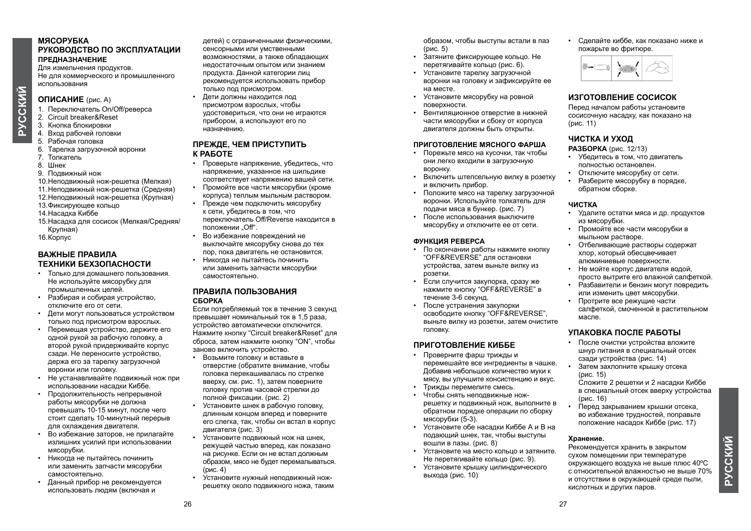#### **МЯСОРУБКА РУКОВОДСТВО ПО ЭКСПЛУАТАЦИИ ПРЕДНАЗНАЧЕНИЕ**

Для измельчения продуктов. Не для коммерческого и промышленного использования

#### **ОПИСАНИЕ** (рис. A)

- 1. Переключатель On/Off/реверса
- 2. Circuit breaker&Reset
- 3. Кнопка блокировки
- 4. Вход рабочей головки
- 5. Рабочая головка
- 6. Тарелка загрузочной воронки
- 7. Толкатель
- 8. Шнек
- 9. Подвижный нож
- 10.Неподвижный нож-решетка (Мелкая)
- 11.Неподвижный нож-решетка (Средняя)
- 12.Неподвижный нож-решетка (Крупная)
- 13.Фиксирующее кольцо
- 14.Насадка Киббе
- 15.Насадка для сосисок (Мелкая/Средняя/ Крупная)
- 16.Корпус

#### **ВАЖНЫЕ ПРАВИЛА ТЕХНИКИ БЕХЗОПАСНОСТИ**

- Только для домашнего пользования. Не используйте мясорубку для промышленных целей.
- Разбирая и собирая устройство, отключите его от сети.
- Дети могут пользоваться устройством только под присмотром взрослых.
- Перемещая устройство, держите его одной рукой за рабочую головку, а второй рукой придерживайте корпус сзади. Не переносите устройство, держа его за тарелку загрузочной воронки или головку.
- Не устанавливайте подвижный нож при использовании насадки Киббе.
- Продолжительность непрерывной работы мясорубки не должна превышать 10-15 минут, после чего стоит сделать 10-минутный перерыв для охлаждения двигателя.
- Во избежание заторов, не прилагайте излишних усилий при использовании мясорубки.
- Никогда не пытайтесь починить или заменить запчасти мясорубки самостоятельно.
- Данный прибор не рекомендуется использовать людям (включая и

детей) с ограниченными физическими, сенсорными или умственными возможностями, а также обладающих недостаточным опытом или знанием продукта. Данной категории лиц рекомендуется использовать прибор только под присмотром. • Дети должны находится под присмотром взрослых, чтобы удостовериться, что они не играются прибором, а используют его по назначению.

#### **ПРЕЖДЕ, ЧЕМ ПРИСТУПИТЬ К РАБОТЕ**

- Проверьте напряжение, убедитесь, что напряжение, указанное на шильдике соответствует напряжению вашей сети.
- Промойте все части мясорубки (кроме корпуса) теплым мыльным раствором.
- Прежде чем подключить мясорубку к сети, убедитесь в том, что переключатель Off/Reverse находится в положении Off"
- Во избежание повреждений не выключайте мясорубку снова до тех пор, пока двигатель не остановится.
- Никогда не пытайтесь починить или заменить запчасти мясорубки самостоятельно.

#### **ПРАВИЛА ПОЛЬЗОВАНИЯ СБОРКА**

Если потребляемый ток в течение 3 секунд превышает номинальный ток в 1,5 раза, устройство автоматически отключится. Нажмите кнопку "Circuit breaker&Reset" для сброса, затем нажмите кнопку "ON", чтобы заново включить устройство.

- Возьмите головку и вставьте в отверстие (обратите внимание, чтобы головка перекашивалась по стрелке вверху, см. рис. 1), затем поверните головку против часовой стрелки до полной фиксации. (рис. 2)
- Установите шнек в рабочую головку, длинным концом вперед и поверните его слегка, так, чтобы он встал в корпус двигателя (рис. 3)
- Установите подвижный нож на шнек, режущей частью вперед, как показано на рисунке. Если он не встал должным образом, мясо не будет перемалываться. (рис. 4)
- Установите нужный неподвижный ножрешетку около подвижного ножа, таким

образом, чтобы выступы встали в паз  $(nuc. 5)$ 

- Затяните фиксирующее кольцо. Не перетягивайте кольцо (рис. 6).
- Установите тарелку загрузочной воронки на головку и зафиксируйте ее на месте.
- Установите мясорубку на ровной поверхности.
- Вентиляционное отверстие в нижней части мясорубки и сбоку от корпуса двигателя должны быть открыты.

#### **ПРИГОТОВЛЕНИЕ МЯСНОГО ФАРША**

- Порежьте мясо на кусочки, так чтобы они легко входили в загрузочную воронку.
- Включить штепсельную вилку в розетку и включить прибор.
- Положите мясо на тарелку загрузочной воронки. Используйте толкатель для подачи мяса в бункер. (рис. 7)
- После использования выключите мясорубку и отключите ее от сети.

#### **ФУНКЦИЯ РЕВЕРСА**

- По окончании работы нажмите кнопку "OFF&REVERSE" для остановки устройства, затем выньте вилку из розетки.
- Если случится закупорка, сразу же нажмите кнопку "OFF&REVERSE" в течение 3-6 секунд.
- После устранения закупорки освободите кнопку "OFF&REVERSE", выньте вилку из розетки, затем очистите головку.

#### **ПРИГОТОВЛЕНИЕ КИББЕ**

- Проверните фарш трижды и перемешайте все ингредиенты в чашке. Добавив небольшое количество муки к мясу, вы улучшите консистенцию и вкус.
- Трижды перемелите смесь.
- Чтобы снять неподвижные ножрешетку и подвижный нож, выполните в обратном порядке операции по сборку мясорубки (5-3).
- Установите обе насадки Киббе А и В на подающий шнек, так, чтобы выступы вошли в пазы. (рис. 8)
- Установите на место кольцо и затяните. Не перетягивайте кольцо (рис. 9).
- Установите крышку цилиндрического выхода (рис. 10)

• Сделайте киббе, как показано ниже и пожарьте во фритюре.



#### **ИЗГОТОВЛЕНИЕ СОСИСОК**

Перед началом работы установите сосисочную насадку, как показано на (рис. 11)

#### **ЧИСТКА И УХОД**

#### **РАЗБОРКА** (рис. 12/13)

- Убедитесь в том, что двигатель полностью остановлен.
- Отключите мясорубку от сети.
- Разберите мясорубку в порядке, обратном сборке.

#### **ЧИСТКА**

- Удалите остатки мяса и др. продуктов из мясорубки.
- Промойте все части мясорубки в мыльном растворе.
- Отбеливающие растворы содержат хлор, который обесцвечивает алюминиевые поверхности.
- Не мойте корпус двигателя водой, просто вытрите его влажной салфеткой.
- Разбавители и бензин могут повредить или изменить цвет мясорубки.
- Протрите все режущие части салфеткой, смоченной в растительном масле.

#### **УПАКОВКА ПОСЛЕ РАБОТЫ**

- После очистки устройства вложите шнур питания в специальный отсек сзади устройства (рис. 14)
- Затем захлопните крышку отсека (рис. 15) Сложите 2 решетки и 2 насадки Киббе

в специальный отсек вверху устройства (рис. 16)

• Перед закрыванием крышки отсека, во избежание трудностей, поправьте положение насадок Киббе (рис. 17)

#### **Хранение.**

Рекомендуется хранить в закрытом сухом помещении при температуре окружающего воздуха не выше плюс 40ºС с относительной влажностью не выше 70% и отсутствии в окружающей среде пыли, кислотных и других паров.

# **РУССКИЙ**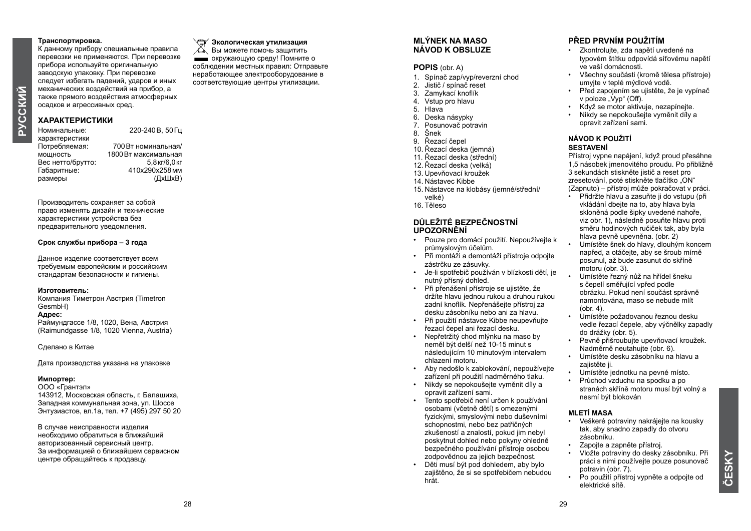#### **Транспортировка.**

К данному прибору специальные правила перевозки не применяются. При перевозке прибора используйте оригинальную заводскую упаковку. При перевозке следует избегать падений, ударов и иных механических воздействий на прибор, а также прямого воздействия атмосферных осадков и агрессивных сред.

### **ХАРАКТЕРИСТИКИ**

220-240В 50Гц характеристики<br>Потребляемая Потребляемая: 700Вт номинальная/ 1800 Вт максимальная<br>5 8 кг/6 0 кг Вес нетто/брутто:<br>Габаритные: Габаритные: 410x290x258мм размеры

Производитель сохраняет за собой право изменять дизайн и технические характеристики устройства без предварительного уведомления.

#### **Срок службы прибора – 3 года**

Данное изделие соответствует всем требуемым европейским и российским стандартам безопасности и гигиены.

#### **Изготовитель:**

Компания Тиметрон Австрия (Timetron GesmbH)

#### **Адрес:**

Раймундгассе 1/8, 1020, Вена, Австрия (Raimundgasse 1/8, 1020 Vienna, Austria)

Сделано в Китае

Дата производства указана на упаковке

#### **Импортер:**

ООО «Грантэл» 143912, Московская область, г. Балашиха, Западная коммунальная зона, ул. Шоссе Энтузиастов, вл.1а, тел. +7 (495) 297 50 20

В случае неисправности изделия необходимо обратиться в ближайший авторизованный сервисный центр. За информацией о ближайшем сервисном центре обращайтесь к продавцу.

#### **Экологическая утилизация**

Вы можете помочь защитить окружающую среду! Помните о соблюдении местных правил: Отправьте неработающее электрооборудование в соответствующие центры утилизации.

#### **MLÝNEK NA MASO NÁVOD K OBSLUZE**

#### **POPIS** (obr. A)

- 1. Spínač zap/vyp/reverzní chod<br>2. Jistič / spínač reset
- 2. Jistič / spínač reset<br>3. Zamykací knoflík
- Zamykací knoflík
- 4. Vstup pro hlavu
- 5. Hlava<br>6. Deska
- 6. Deska násypky<br>7. Posunovač potr
- 7. Posunovač potravin<br>8. Šnek
- 8. Šnek<br>9. Řeza 9. Řezací čepel
- 10. Řezací deska (jemná)
- 11. Řezací deska (střední)
- 12. Řezací deska (velká)
- 13. Upevňovací kroužek
- 14. Nástavec Kibbe
- 15. Nástavce na klobásy (jemné/střední/ velké)
- 16. Těleso

#### **DŮLEŽITÉ BEZPEČNOSTNÍ UPOZORNĚNÍ**

- Pouze pro domácí použití. Nepoužívejte k průmyslovým účelům.
- Při montáži a demontáži přístroje odpojte zástrčku ze zásuvky.
- Je-li spotřebič používán v blízkosti dětí, je nutný přísný dohled.
- Při přenášení přístroje se ujistěte, že držíte hlavu jednou rukou a druhou rukou zadní knoflík. Nepřenášejte přístroj za desku zásobníku nebo ani za hlavu.
- Při použití nástavce Kibbe neupevňujte řezací čepel ani řezací desku.
- Nepřetržitý chod mlýnku na maso by neměl být delší než 10-15 minut s následujícím 10 minutovým intervalem chlazení motoru.
- Aby nedošlo k zablokování, nepoužívejte zařízení při použití nadměrného tlaku.
- Nikdy se nepokoušejte vyměnit díly a opravit zařízení sami.
- Tento spotřebič není určen k používání osobami (včetně dětí) s omezenými fyzickými, smyslovými nebo duševními schopnostmi, nebo bez patřičných zkušeností a znalostí, pokud jim nebyl poskytnut dohled nebo pokyny ohledně bezpečného používání přístroje osobou zodpovědnou za jejich bezpečnost.
- Děti musí být pod dohledem, aby bylo zajištěno, že si se spotřebičem nebudou hrát.

#### **PŘED PRVNÍM POUŽITÍM**

- Zkontrolujte, zda napětí uvedené na typovém štítku odpovídá síťovému napětí ve vaší domácnosti.
- Všechny součásti (kromě tělesa přístroje) umyjte v teplé mýdlové vodě.
- Před zapojením se ujistěte, že je vypínač v poloze  $Vvp''$  (Off).
- Když se motor aktivuje, nezapínejte.
- Nikdy se nepokoušejte vyměnit díly a opravit zařízení sami.

#### **NÁVOD K POUŽITÍ SESTAVENÍ**

Přístroj vypne napájení, když proud přesáhne 1,5 násobek jmenovitého proudu. Po přibližně 3 sekundách stiskněte jistič a reset pro zresetování, poté stiskněte tlačítko ON" (Zapnuto) – přístroj může pokračovat v práci.

- Přidržte hlavu a zasuňte ji do vstupu (při vkládání dbejte na to, aby hlava byla skloněná podle šipky uvedené nahoře, viz obr. 1), následně posuňte hlavu proti směru hodinových ručiček tak, aby byla hlava pevně upevněna. (obr. 2)
- Umístěte šnek do hlavy, dlouhým koncem napřed, a otáčejte, aby se šroub mírně posunul, až bude zasunut do skříně motoru (obr. 3).
- Umístěte řezný nůž na hřídel šneku s čepelí směřující vpřed podle obrázku. Pokud není součást správně namontována, maso se nebude mlít  $($ obr. 4).
- Umístěte požadovanou řeznou desku vedle řezací čepele, aby výčnělky zapadly do drážky (obr $\overline{5}$ ).
- Pevně přišroubujte upevňovací kroužek. Nadměrně neutahujte (obr. 6).
- Umístěte desku zásobníku na hlavu a zajistěte ji.
- Umístěte jednotku na pevné místo.<br>• Průchod vzduchu na spodku a po
- Průchod vzduchu na spodku a po stranách skříně motoru musí být volný a nesmí být blokován

#### **MLETÍ MASA**

- Veškeré potraviny nakrájejte na kousky tak, aby snadno zapadly do otvoru zásobníku.
- Zapojte a zapněte přístroj.
- Vložte potraviny do desky zásobníku. Při práci s nimi používejte pouze posunovač potravin (obr. 7).
- Po použití přístroj vypněte a odpojte od elektrické sítě.